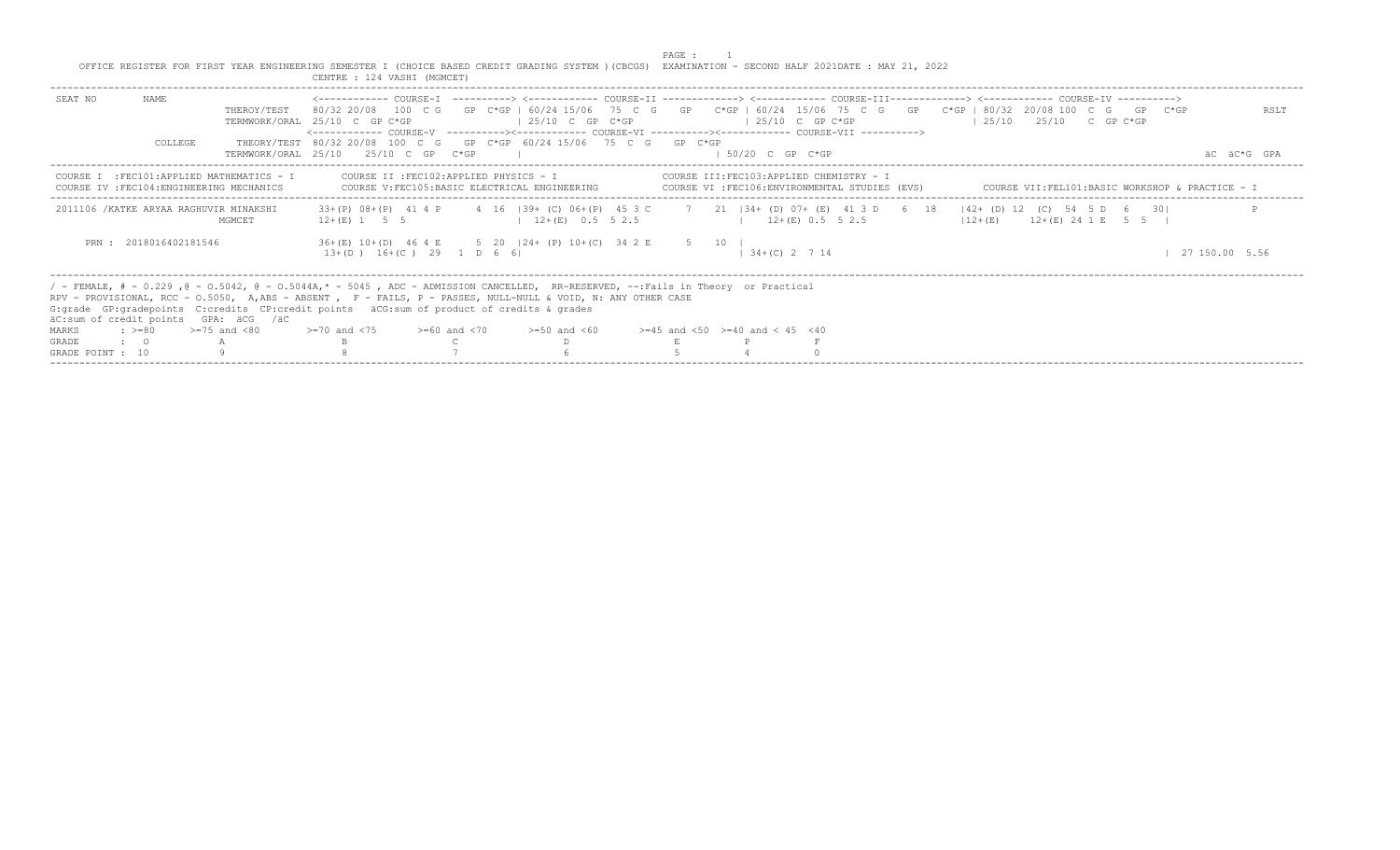PAGE : 1<br>OFFICE REGISTER FOR FIRST YEAR ENGINEERING SEMESTER I (CHOICE BASED CREDIT GRADING SYSTEM )(CBCGS) EXAMINATION - SECOND HALF 2021DATE : MAY 21, 2022<br>CENTRE : 124 VASHI (MGMCET)

| NAME<br>SEAT NO<br>THEROY/TEST                                                          | <------------- COURSE-T ----------> <------------ COURSE-TT -------------> <------------ COURSE-TTT-------------> <------------ COURSE-TV ----------><br>80/32 20/08 100 C G GP C*GP   60/24 15/06 75 C G GP C*GP   60/24 15/06 75 C G GP C*GP   80/32 20/08 100 C G GP C*GP<br>$125/10$ C GP $C*GP$<br>TERMWORK/ORAL 25/10 C GP C*GP<br><------------ COURSE-V ----------><----------- COURSE-VI ----------><----------- COURSE-VII ----------> | $125/10$ C GP C*GP                       | RSLT<br>$125/10$ $25/10$ C GP C*GP                                                                  |
|-----------------------------------------------------------------------------------------|--------------------------------------------------------------------------------------------------------------------------------------------------------------------------------------------------------------------------------------------------------------------------------------------------------------------------------------------------------------------------------------------------------------------------------------------------|------------------------------------------|-----------------------------------------------------------------------------------------------------|
| COLLEGE                                                                                 | THEORY/TEST 80/32 20/08 100 C G GP C*GP 60/24 15/06 75 C G GP C*GP<br>TERMWORK/ORAL 25/10 25/10 C GP C*GP                                                                                                                                                                                                                                                                                                                                        | $1.50/20$ C GP C*GP                      | äC äC*G GPA                                                                                         |
| COURSE I : FEC101: APPLIED MATHEMATICS - I<br>COURSE IV : FEC104: ENGINEERING MECHANICS | COURSE V:FEC105:BASIC ELECTRICAL ENGINEERING                                                                                                                                                                                                                                                                                                                                                                                                     |                                          | COURSE VI :FEC106:ENVIRONMENTAL STUDIES (EVS)       COURSE VII:FEL101:BASIC WORKSHOP & PRACTICE - I |
| 2011106 /KATKE ARYAA RAGHUVIR MINAKSHI<br>MGMCET                                        | 33+(P) 08+(P) 41 4 P 4 16   39+ (C) 06+(P) 45 3 C 7 21   34+ (D) 07+ (E) 41 3 D 6 18   42+ (D) 12 (C) 54 5 D 6 30 <br>$12+(E)$ 0.5 5 2.5<br>$12+(E)$ 1 5 5                                                                                                                                                                                                                                                                                       | $12+(E)$ 0.5 5 2.5                       | $12+(E)$ $12+(E)$ $24$ 1 E 5 5                                                                      |
| PRN: 2018016402181546                                                                   | 36+(E) 10+(D) 46 4 E 5 20   24+ (P) 10+(C) 34 2 E 5 10  <br>$13+(D)$ $16+(C)$ 29 1 D 6 6                                                                                                                                                                                                                                                                                                                                                         | $134+(C)2714$                            | 27 150.00 5.56                                                                                      |
| äC:sum of credit points GPA: äCG /äC                                                    | / - FEMALE, # - 0.229, @ - 0.5042, @ - 0.5044A,* - 5045, ADC - ADMISSION CANCELLED, RR-RESERVED, --:Fails in Theory or Practical<br>RPV - PROVISIONAL, RCC - 0.5050, A,ABS - ABSENT , F - FAILS, P - PASSES, NULL-NULL & VOID, N: ANY OTHER CASE<br>G: qrade GP: qradepoints C: credits CP: credit points äCG: sum of product of credits & qrades                                                                                                |                                          |                                                                                                     |
| $\pm$ >=80 >=75 and <80<br>MARKS                                                        | $>= 70$ and $< 75$ $>= 60$ and $< 70$<br>$>=50$ and $<60$                                                                                                                                                                                                                                                                                                                                                                                        | $>=45$ and $<50$ $>=40$ and $< 45$ $<40$ |                                                                                                     |
| GRADE<br>$\cdot$ $\cdot$ 0                                                              |                                                                                                                                                                                                                                                                                                                                                                                                                                                  |                                          |                                                                                                     |
| GRADE POINT : 10                                                                        |                                                                                                                                                                                                                                                                                                                                                                                                                                                  |                                          |                                                                                                     |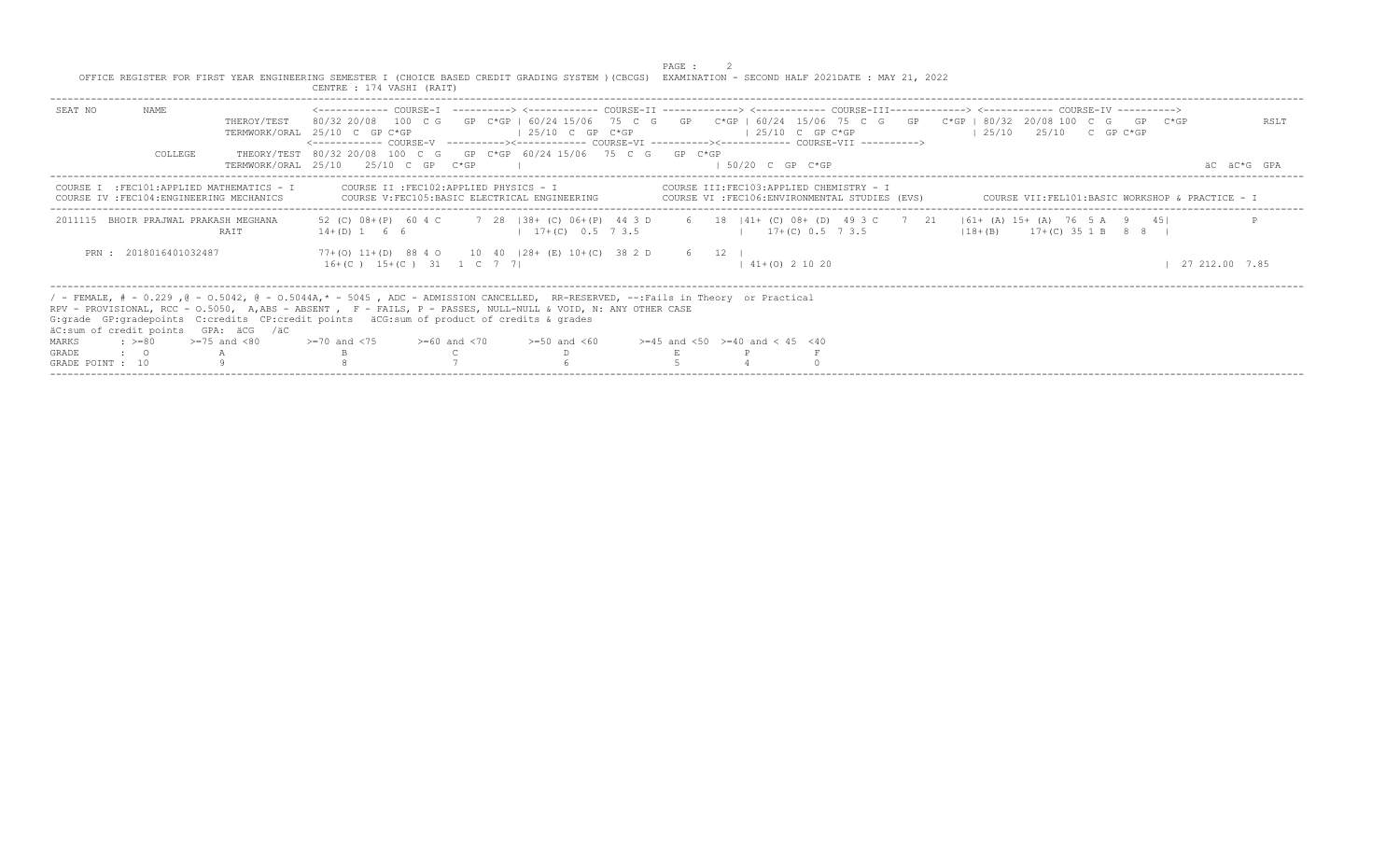|                                  |                       |                                                                                           | OFFICE REGISTER FOR FIRST YEAR ENGINEERING SEMESTER I (CHOICE BASED CREDIT GRADING SYSTEM ) (CBCGS) EXAMINATION - SECOND HALF 2021DATE : MAY 21, 2022<br>CENTRE : 174 VASHI (RAIT)                                                                                                                                                                                                                                                                                                                                                                    |                                                | PAGE : |                                           |                                                                                          |                                                 |  |                |                     |
|----------------------------------|-----------------------|-------------------------------------------------------------------------------------------|-------------------------------------------------------------------------------------------------------------------------------------------------------------------------------------------------------------------------------------------------------------------------------------------------------------------------------------------------------------------------------------------------------------------------------------------------------------------------------------------------------------------------------------------------------|------------------------------------------------|--------|-------------------------------------------|------------------------------------------------------------------------------------------|-------------------------------------------------|--|----------------|---------------------|
| SEAT NO                          | NAME<br>COLLEGE       | THEROY/TEST                                                                               | <------------- COURSE-T ----------> <------------ COURSE-TT -------------> <------------ COURSE-TTT-------------> <------------ COURSE-TV ----------><br>80/32 20/08 100 C G GP C*GP I 60/24 15/06 75 C G GP C*GP   60/24 15/06 75 C G GP C*GP   80/32 20/08 100 C G GP C*GP<br>TERMWORK/ORAL 25/10 C GP C*GP<br><------------- COURSE-V    ----------><-----------    COURSE-VI    -----------><----------    COURSE-VII    ----------><br>THEORY/TEST 80/32 20/08 100 C G GP C*GP 60/24 15/06 75 C G GP C*GP<br>TERMWORK/ORAL 25/10 25/10 C GP C*GP | $125/10$ C GP C*GP                             |        | $125/10$ C GP C*GP<br>$1.50/20$ C GP C*GP |                                                                                          | $1.25/10$ $25/10$ C GP C*GP                     |  |                | RSLT<br>AC AC*G GPA |
|                                  |                       |                                                                                           |                                                                                                                                                                                                                                                                                                                                                                                                                                                                                                                                                       |                                                |        |                                           |                                                                                          |                                                 |  |                |                     |
|                                  |                       | COURSE I   :FEC101:APPLIED MATHEMATICS  —  I<br>COURSE IV : FEC104: ENGINEERING MECHANICS | COURSE II : FEC102: APPLIED PHYSICS - I                                                                                                                                                                                                                                                                                                                                                                                                                                                                                                               | COURSE V: FEC105: BASIC ELECTRICAL ENGINEERING |        |                                           | COURSE III:FEC103:APPLIED CHEMISTRY - I<br>COURSE VI :FEC106:ENVIRONMENTAL STUDIES (EVS) | COURSE VII:FEL101:BASIC WORKSHOP & PRACTICE - I |  |                |                     |
|                                  |                       | 2011115 BHOIR PRAJWAL PRAKASH MEGHANA<br><b>RATT</b>                                      | 52 (C) 08+(P) 60 4 C 7 28   38+ (C) 06+(P) 44 3 D 6 18   41+ (C) 08+ (D) 49 3 C 7 21   61+ (A) 15+ (A) 76 5 A 9 45 <br>$14+(D)$ 1 6 6                                                                                                                                                                                                                                                                                                                                                                                                                 | $17+(C)$ 0.5 7 3.5                             |        |                                           | $17+(C)$ 0.5 7 3.5                                                                       | $118 + (B)$ $17 + (C)$ 35 1 B 8 8 H             |  |                |                     |
|                                  | PRN: 2018016401032487 |                                                                                           | 77+(0) 11+(D) 88 4 0 10 40 128+ (E) 10+(C) 38 2 D 6 12  <br>$16+(C)$ $15+(C)$ $31$ $1$ $C$ $7$ $7$                                                                                                                                                                                                                                                                                                                                                                                                                                                    |                                                |        | $141+ (0)21020$                           |                                                                                          |                                                 |  | 27 212.00 7.85 |                     |
|                                  |                       | äC:sum of credit points GPA: äCG /äC                                                      | / - FEMALE, # - 0.229, @ - 0.5042, @ - 0.5044A,* - 5045, ADC - ADMISSION CANCELLED, RR-RESERVED, --:Fails in Theory or Practical<br>RPV - PROVISIONAL, RCC - 0.5050, A,ABS - ABSENT , F - FAILS, P - PASSES, NULL-NULL & VOID, N: ANY OTHER CASE<br>G: grade GP: gradepoints C: credits CP: credit points äCG: sum of product of credits & grades                                                                                                                                                                                                     |                                                |        |                                           |                                                                                          |                                                 |  |                |                     |
| MARKS                            | $: >=80$              | $>=75$ and $< 80$                                                                         | $\ge$ =70 and <75 $\ge$ =60 and <70 $\ge$ =50 and <60 $\ge$ =45 and <50 $\ge$ =40 and < 45 <40                                                                                                                                                                                                                                                                                                                                                                                                                                                        |                                                |        |                                           |                                                                                          |                                                 |  |                |                     |
| <b>GRADE</b><br>GRADE POINT : 10 | $\cdot$ $\cdot$ 0     |                                                                                           |                                                                                                                                                                                                                                                                                                                                                                                                                                                                                                                                                       |                                                |        |                                           |                                                                                          |                                                 |  |                |                     |
|                                  |                       |                                                                                           |                                                                                                                                                                                                                                                                                                                                                                                                                                                                                                                                                       |                                                |        |                                           |                                                                                          |                                                 |  |                |                     |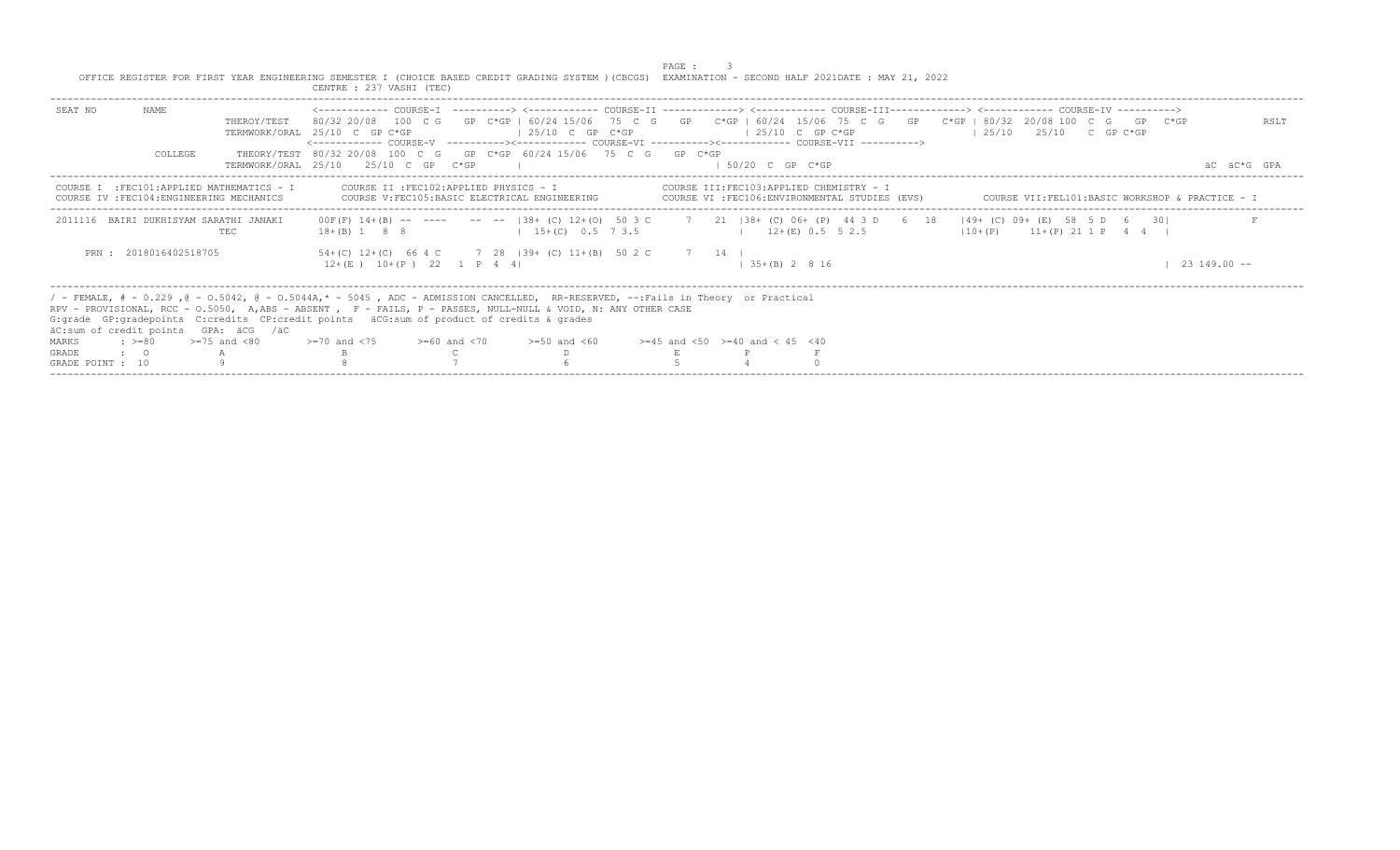|                  |                       |                                                                                         | OFFICE REGISTER FOR FIRST YEAR ENGINEERING SEMESTER I (CHOICE BASED CREDIT GRADING SYSTEM ) (CBCGS) EXAMINATION - SECOND HALF 2021DATE : MAY 21, 2022<br>CENTRE : 237 VASHI (TEC)                                                                                                                                                                 |                       | PAGE : |                     |                                                                                            |                                                                                                                                                                                                                                                                                                          |                  |
|------------------|-----------------------|-----------------------------------------------------------------------------------------|---------------------------------------------------------------------------------------------------------------------------------------------------------------------------------------------------------------------------------------------------------------------------------------------------------------------------------------------------|-----------------------|--------|---------------------|--------------------------------------------------------------------------------------------|----------------------------------------------------------------------------------------------------------------------------------------------------------------------------------------------------------------------------------------------------------------------------------------------------------|------------------|
| SEAT NO          | NAME                  | THEROY/TEST                                                                             | TERMWORK/ORAL 25/10 C GP C*GP<br><------------ COURSE-V    ----------><----------- COURSE-VI    ----------><---------- COURSE-VII    ---------->>                                                                                                                                                                                                 | $125/10$ C GP C*GP    |        | $125/10$ C GP C*GP  |                                                                                            | <------------ COURSE-T ----------> <----------- COURSE-TT -------------> <------------ COURSE-TTT------------> <------------ COURSE-TV -----------><br>80/32 20/08 100 C G GP C*GP   60/24 15/06 75 C G GP C*GP   60/24 15/06 75 C G GP C*GP   80/32 20/08 100 C G GP C*GP<br>$125/10$ $25/10$ C GP C*GP | RSLT             |
|                  | COLLEGE               |                                                                                         | THEORY/TEST 80/32 20/08 100 C G GP C*GP 60/24 15/06 75 C G GP C*GP<br>TERMWORK/ORAL 25/10 25/10 C GP C*GP                                                                                                                                                                                                                                         |                       |        | $1.50/20$ C GP C*GP |                                                                                            |                                                                                                                                                                                                                                                                                                          | AC AC*G GPA      |
|                  |                       | COURSE I : FEC101: APPLIED MATHEMATICS - I<br>COURSE IV : FEC104: ENGINEERING MECHANICS | COURSE II : FEC102: APPLIED PHYSICS - I<br>COURSE V: FEC105: BASIC ELECTRICAL ENGINEERING                                                                                                                                                                                                                                                         |                       |        |                     | COURSE III:FEC103:APPLIED CHEMISTRY - I<br>COURSE VI : FEC106: ENVIRONMENTAL STUDIES (EVS) | COURSE VII:FEL101:BASIC WORKSHOP & PRACTICE - I                                                                                                                                                                                                                                                          |                  |
|                  |                       | 2011116 BAIRI DUKHISYAM SARATHI JANAKI<br><b>TEC</b>                                    | $18+(B)$ 1 8 8                                                                                                                                                                                                                                                                                                                                    | $1, 15+(C)$ 0.5 7 3.5 |        |                     | $12+(E)$ 0.5 5 2.5                                                                         | 00F(F) 14+(B) -- ---- -- --  38+ (C) 12+(0) 50 3 C 7 21  38+ (C) 06+ (P) 44 3 D 6 18  49+ (C) 09+ (E) 58 5 D 6 30 <br>$110+(P)$ $11+(P)$ $21$ 1 P 4 4                                                                                                                                                    |                  |
|                  | PRN: 2018016402518705 |                                                                                         | 54+(C) 12+(C) 66 4 C 7 28   39+ (C) 11+(B) 50 2 C 7 14  <br>$12+(E)$ $10+(P)$ 22 1 P 4 4                                                                                                                                                                                                                                                          |                       |        | $135+(B) 2816$      |                                                                                            |                                                                                                                                                                                                                                                                                                          | $23\ 149.00 - -$ |
|                  |                       | äC:sum of credit points GPA: äCG /äC                                                    | / - FEMALE, # - 0.229, @ - 0.5042, @ - 0.5044A,* - 5045, ADC - ADMISSION CANCELLED, RR-RESERVED, --:Fails in Theory or Practical<br>RPV - PROVISIONAL, RCC - 0.5050, A,ABS - ABSENT , F - FAILS, P - PASSES, NULL-NULL & VOID, N: ANY OTHER CASE<br>G: qrade GP: qradepoints C: credits CP: credit points äCG: sum of product of credits & qrades |                       |        |                     |                                                                                            |                                                                                                                                                                                                                                                                                                          |                  |
| MARKS            | $: z = 80$            | $>=75$ and $< 80$                                                                       | $>1$ 20 and $<$ 75 $>$ $>$ =60 and $<$ 70 $>$ =50 and $<$ 60 $>$ =45 and $<$ 50 $>$ =40 and $<$ 45 $<$ 40                                                                                                                                                                                                                                         |                       |        |                     |                                                                                            |                                                                                                                                                                                                                                                                                                          |                  |
| GRADE            | $\cdot$ $\cdot$ 0     |                                                                                         |                                                                                                                                                                                                                                                                                                                                                   |                       |        |                     |                                                                                            |                                                                                                                                                                                                                                                                                                          |                  |
| GRADE POINT : 10 |                       |                                                                                         |                                                                                                                                                                                                                                                                                                                                                   |                       |        |                     |                                                                                            |                                                                                                                                                                                                                                                                                                          |                  |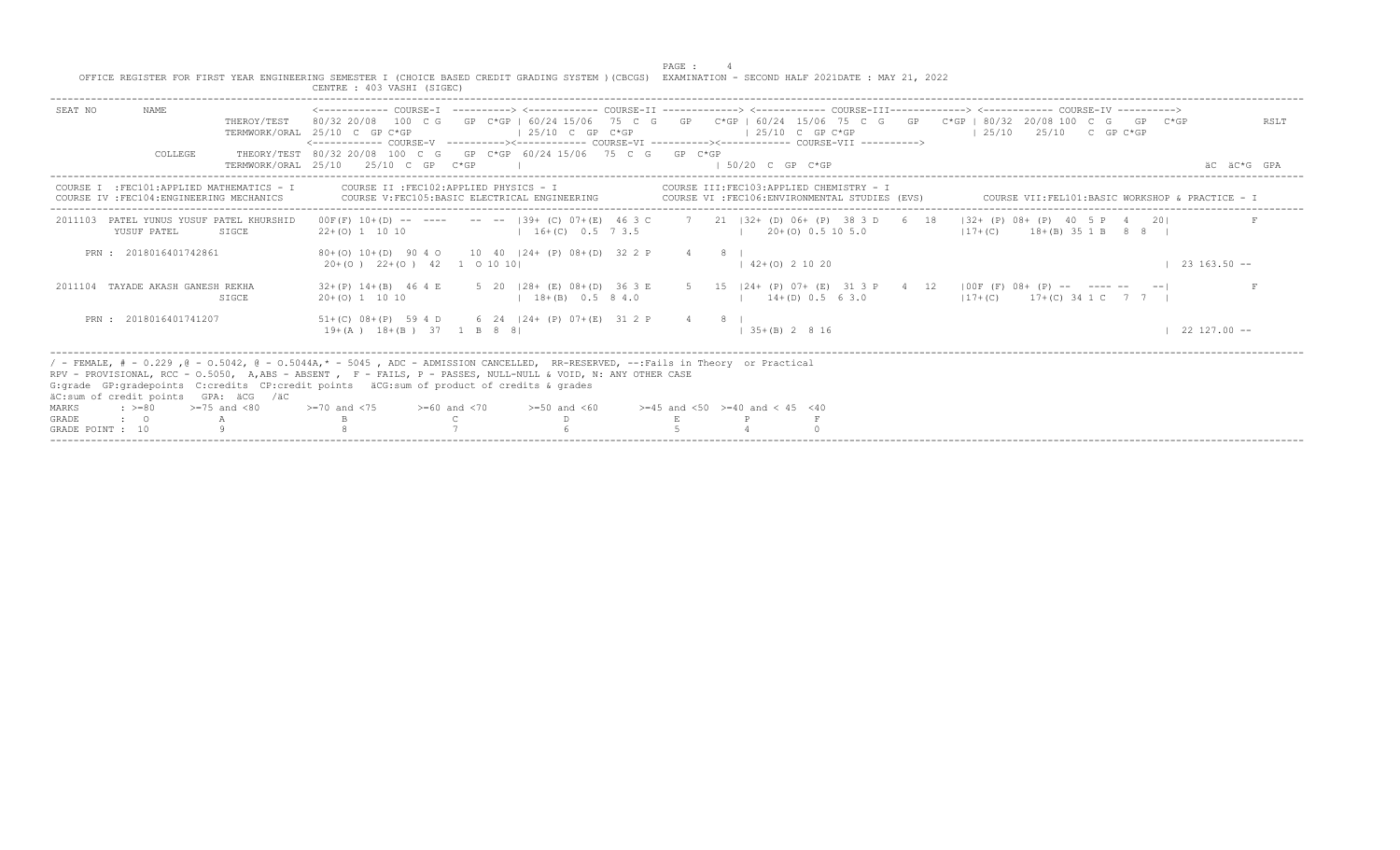|                                                                         |                                                                                         | CENTRE : 403 VASHI (SIGEC)                                                                                                    |                                                                                                                                                                                                                                                                        | PAGE :<br>OFFICE REGISTER FOR FIRST YEAR ENGINEERING SEMESTER I (CHOICE BASED CREDIT GRADING SYSTEM ) (CBCGS) EXAMINATION - SECOND HALF 2021DATE : MAY 21, 2022                                                                                         |                                                   |
|-------------------------------------------------------------------------|-----------------------------------------------------------------------------------------|-------------------------------------------------------------------------------------------------------------------------------|------------------------------------------------------------------------------------------------------------------------------------------------------------------------------------------------------------------------------------------------------------------------|---------------------------------------------------------------------------------------------------------------------------------------------------------------------------------------------------------------------------------------------------------|---------------------------------------------------|
| SEAT NO                                                                 | NAME<br>THEROY/TEST                                                                     | TERMWORK/ORAL 25/10 C GP C*GP                                                                                                 | $125/10$ C GP C*GP                                                                                                                                                                                                                                                     | 80/32 20/08 100 C G GP C*GP   60/24 15/06 75 C G GP C*GP   60/24 15/06 75 C G GP C*GP   80/32 20/08 100 C G GP C*GP<br>$125/10$ C GP C*GP<br><------------ COURSE-V -----------><----------- COURSE-VI -----------><----------- COURSE-VII -----------> | RSLT<br>1 25/10 25/10 C GP C*GP                   |
|                                                                         | COLLEGE                                                                                 | TERMWORK/ORAL 25/10 25/10 C GP C*GP                                                                                           | THEORY/TEST 80/32 20/08 100 C G GP C*GP 60/24 15/06 75 C G GP C*GP                                                                                                                                                                                                     | $1.50/20$ C GP C*GP                                                                                                                                                                                                                                     | AC AC*G GPA                                       |
|                                                                         | COURSE I : FEC101: APPLIED MATHEMATICS - I<br>COURSE IV : FEC104: ENGINEERING MECHANICS | COURSE II : FEC102:APPLIED PHYSICS - I                                                                                        | COURSE V: FEC105: BASIC ELECTRICAL ENGINEERING                                                                                                                                                                                                                         | COURSE III:FEC103:APPLIED CHEMISTRY - I<br>COURSE VI : FEC106: ENVIRONMENTAL STUDIES (EVS)                                                                                                                                                              | COURSE VII: FEL101: BASIC WORKSHOP & PRACTICE - I |
| 2011103<br>YUSUF PATEL                                                  | PATEL YUNUS YUSUF PATEL KHURSHID<br>SIGCE                                               | $22+(0)$ 1 10 10                                                                                                              | $1 \quad 16 + (C) \quad 0.5 \quad 7 \quad 3.5$ $1 \quad 20 + (0) \quad 0.5 \quad 10 \quad 5.0$                                                                                                                                                                         | 00F(F) 10+(D) -- ---- -- -- 139+ (C) 07+(E) 46 3 C 7 21 132+ (D) 06+ (P) 38 3 D 6 18 132+ (P) 08+ (P) 40 5 P 4 201                                                                                                                                      | $117 + (C)$ 18 + (B) 35 1 B 8 8 1                 |
| PRN: 2018016401742861                                                   |                                                                                         | 20+(0) 22+(0) 42 1 0 10 10                                                                                                    | 80+(0) 10+(D) 90 4 0 10 40   24+ (P) 08+(D) 32 2 P                                                                                                                                                                                                                     | $4 \t 8 \t 1$<br>$142+(0)21020$                                                                                                                                                                                                                         | $23163.50 -$                                      |
|                                                                         | 2011104 TAYADE AKASH GANESH REKHA<br>SIGCE                                              | $20+ (0)$ 1 10 10                                                                                                             | $18+(B)$ 0.5 8 4.0                                                                                                                                                                                                                                                     | 32+(P) 14+(B) 46 4 E 5 20   28+ (E) 08+(D) 36 3 E 5 15   24+ (P) 07+ (E) 31 3 P 4 12   00F (F) 08+ (P) -- ------ -- --<br>$14+(D)$ 0.5 6 3.0                                                                                                            | $117+(C)$ $17+(C)$ 34 1 C 7 7 1                   |
| PRN: 2018016401741207                                                   |                                                                                         | $19+(A)$ $18+(B)$ 37 1 B 8 8                                                                                                  | $51+(C)$ 08+(P) 59 4 D 6 24   24+ (P) 07+(E) 31 2 P                                                                                                                                                                                                                    | $4 \t 8$<br>$1, 35+(B)$ 2 8 16                                                                                                                                                                                                                          | $22\;127.00 - -$                                  |
| $: \; > = 80$<br>MARKS<br><b>GRADE</b><br>$\cdot$ 0<br>GRADE POINT : 10 | äC:sum of credit points GPA: äCG /äC<br>$>=75$ and $< 80$                               | G:grade GP:gradepoints C:credits CP:credit points äCG:sum of product of credits & grades<br>$>=70$ and $<75$ $>=60$ and $<70$ | / - FEMALE, # - 0.229, @ - 0.5042, @ - 0.5044A,* - 5045, ADC - ADMISSION CANCELLED, RR-RESERVED, --:Fails in Theory or Practical<br>RPV - PROVISIONAL, RCC - 0.5050, A,ABS - ABSENT , F - FAILS, P - PASSES, NULL-NULL & VOID, N: ANY OTHER CASE<br>$>= 50$ and $< 60$ | $>=45$ and $<50$ $>=40$ and $< 45$ $<40$                                                                                                                                                                                                                |                                                   |

-----------------------------------------------------------------------------------------------------------------------------------------------------------------------------------------------------------------------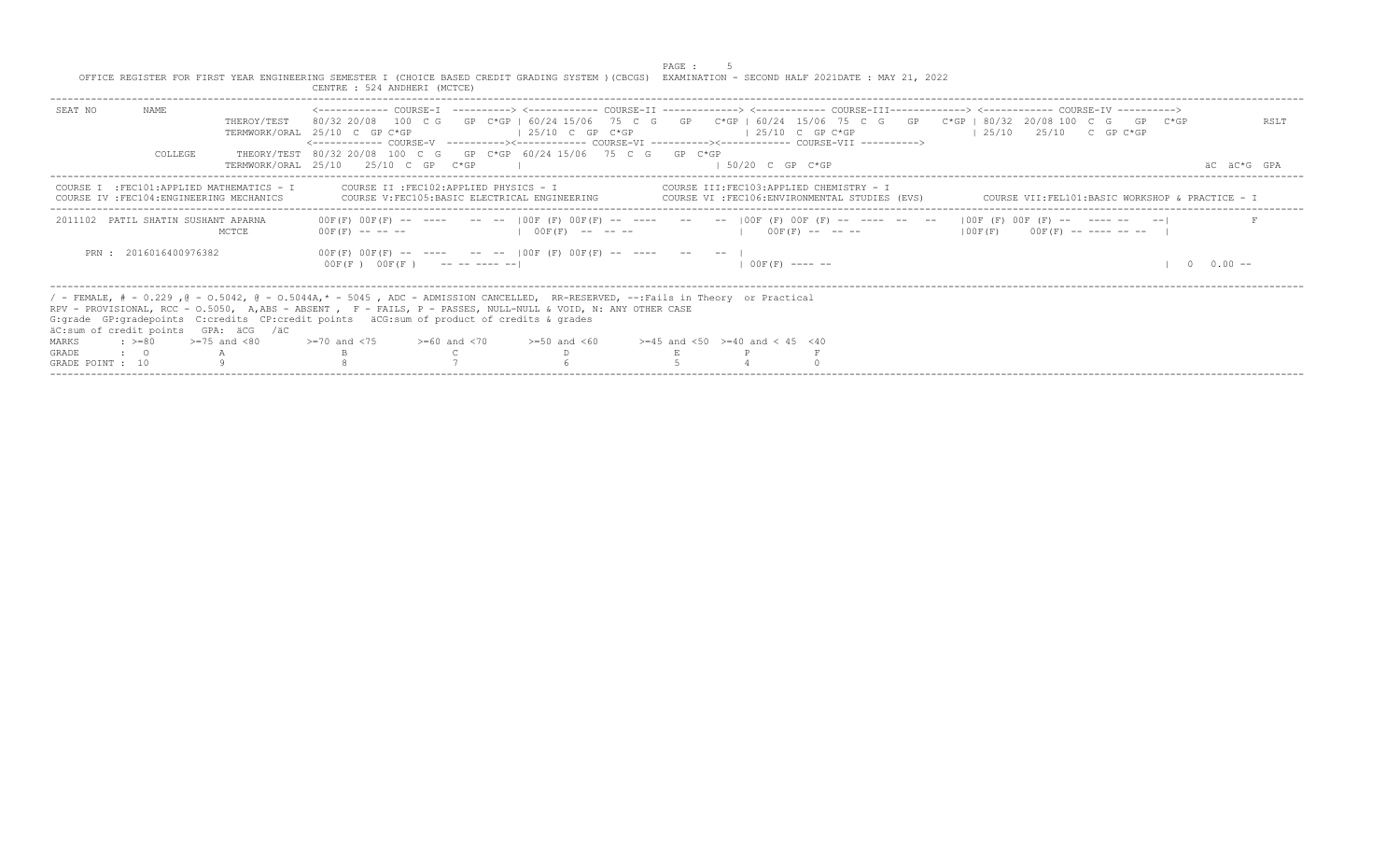|                  |                       |                                                                                         | OFFICE REGISTER FOR FIRST YEAR ENGINEERING SEMESTER I (CHOICE BASED CREDIT GRADING SYSTEM ) (CBCGS) EXAMINATION - SECOND HALF 2021DATE : MAY 21, 2022<br>CENTRE : 524 ANDHERI (MCTCE)                                                                                                                                                                                                                                                                                                                      |                                         | PAGE : |                     |                                                                                                                                                                                                                                                 |                                                 |             |
|------------------|-----------------------|-----------------------------------------------------------------------------------------|------------------------------------------------------------------------------------------------------------------------------------------------------------------------------------------------------------------------------------------------------------------------------------------------------------------------------------------------------------------------------------------------------------------------------------------------------------------------------------------------------------|-----------------------------------------|--------|---------------------|-------------------------------------------------------------------------------------------------------------------------------------------------------------------------------------------------------------------------------------------------|-------------------------------------------------|-------------|
| SEAT NO          | NAME<br>COLLEGE       | THEROY/TEST                                                                             | <------------ COURSE-T ----------> <----------- COURSE-TT -------------> <------------ COURSE-TTT------------> <------------ COURSE-TV ----------><br>80/32 20/08 100 C G GP C*GP I 60/24 15/06 75 C G GP C*GP   60/24 15/06 75 C G GP C*GP   80/32 20/08 100 C G GP C*GP<br>TERMWORK/ORAL 25/10 C GP C*GP<br><------------ COURSE-V    ----------><-----------    COURSE-VI    -----------><----------    COURSE-VII    ----------><br>THEORY/TEST 80/32 20/08 100 C G GP C*GP 60/24 15/06 75 C G GP C*GP | $125/10$ C GP C*GP                      |        | $125/10$ C GP C*GP  |                                                                                                                                                                                                                                                 | $125/10$ $25/10$ C GP C*GP                      | RSLT        |
|                  |                       |                                                                                         | TERMWORK/ORAI, 25/10 25/10 C GP C*GP                                                                                                                                                                                                                                                                                                                                                                                                                                                                       |                                         |        | $1.50/20$ C GP C*GP |                                                                                                                                                                                                                                                 |                                                 | AC AC*G GPA |
|                  |                       | COURSE I : FEC101: APPLIED MATHEMATICS - I<br>COURSE IV : FEC104: ENGINEERING MECHANICS | COURSE V: FEC105: BASIC ELECTRICAL ENGINEERING                                                                                                                                                                                                                                                                                                                                                                                                                                                             | COURSE II : FEC102: APPLIED PHYSICS - I |        |                     | COURSE III:FEC103:APPLIED CHEMISTRY - I<br>COURSE VI : FEC106: ENVIRONMENTAL STUDIES (EVS)                                                                                                                                                      | COURSE VII:FEL101:BASIC WORKSHOP & PRACTICE - I |             |
|                  |                       | 2011102 PATIL SHATIN SUSHANT APARNA<br>MCTCE                                            |                                                                                                                                                                                                                                                                                                                                                                                                                                                                                                            |                                         |        |                     | 00F(F) 00F(F) -- ---- -- --  00F(F) 00F(F) -- ---- -- --  00F(F) 00F(F) -- ---- -- --  00F(F) 00F(F) -- ------ -- --<br>$00F(F)$ ------ $-$   $00F(F)$ ------   $00F(F)$ -----   $00F(F)$ -----   $00F(F)$ $00F(F)$ $00F(F)$ $00F(F)$ --------- |                                                 |             |
|                  | PRN: 2016016400976382 |                                                                                         | $00F(F)$ $00F(F)$ -- --- -- --   $00F(F)$ $00F(F)$ -- ---- -- --  <br>$00F(F)$ $00F(F)$ --------                                                                                                                                                                                                                                                                                                                                                                                                           |                                         |        |                     | $1.00F(F)$ ---- --                                                                                                                                                                                                                              |                                                 | $0.00 -$    |
|                  |                       | äC:sum of credit points GPA: äCG /äC                                                    | / - FEMALE, # - 0.229, @ - 0.5042, @ - 0.5044A,* - 5045, ADC - ADMISSION CANCELLED, RR-RESERVED, --:Fails in Theory or Practical<br>RPV - PROVISIONAL, RCC - 0.5050, A.ABS - ABSENT , F - FAILS, P - PASSES, NULL-NULL & VOID, N: ANY OTHER CASE<br>G: grade GP: gradepoints C: credits CP: credit points äCG: sum of product of credits & grades                                                                                                                                                          |                                         |        |                     |                                                                                                                                                                                                                                                 |                                                 |             |
| MARKS            |                       | $\approx$ $> = 80$ $> = 75$ and $< 80$                                                  | $>=70$ and $<75$ $>=60$ and $<70$ $>=50$ and $<60$ $>=45$ and $<50$ $>=40$ and $< 45$ $<40$                                                                                                                                                                                                                                                                                                                                                                                                                |                                         |        |                     |                                                                                                                                                                                                                                                 |                                                 |             |
| GRADE            | $\cdot$ $\cdot$ 0     |                                                                                         |                                                                                                                                                                                                                                                                                                                                                                                                                                                                                                            |                                         |        |                     |                                                                                                                                                                                                                                                 |                                                 |             |
| GRADE POINT : 10 |                       |                                                                                         |                                                                                                                                                                                                                                                                                                                                                                                                                                                                                                            |                                         |        |                     |                                                                                                                                                                                                                                                 |                                                 |             |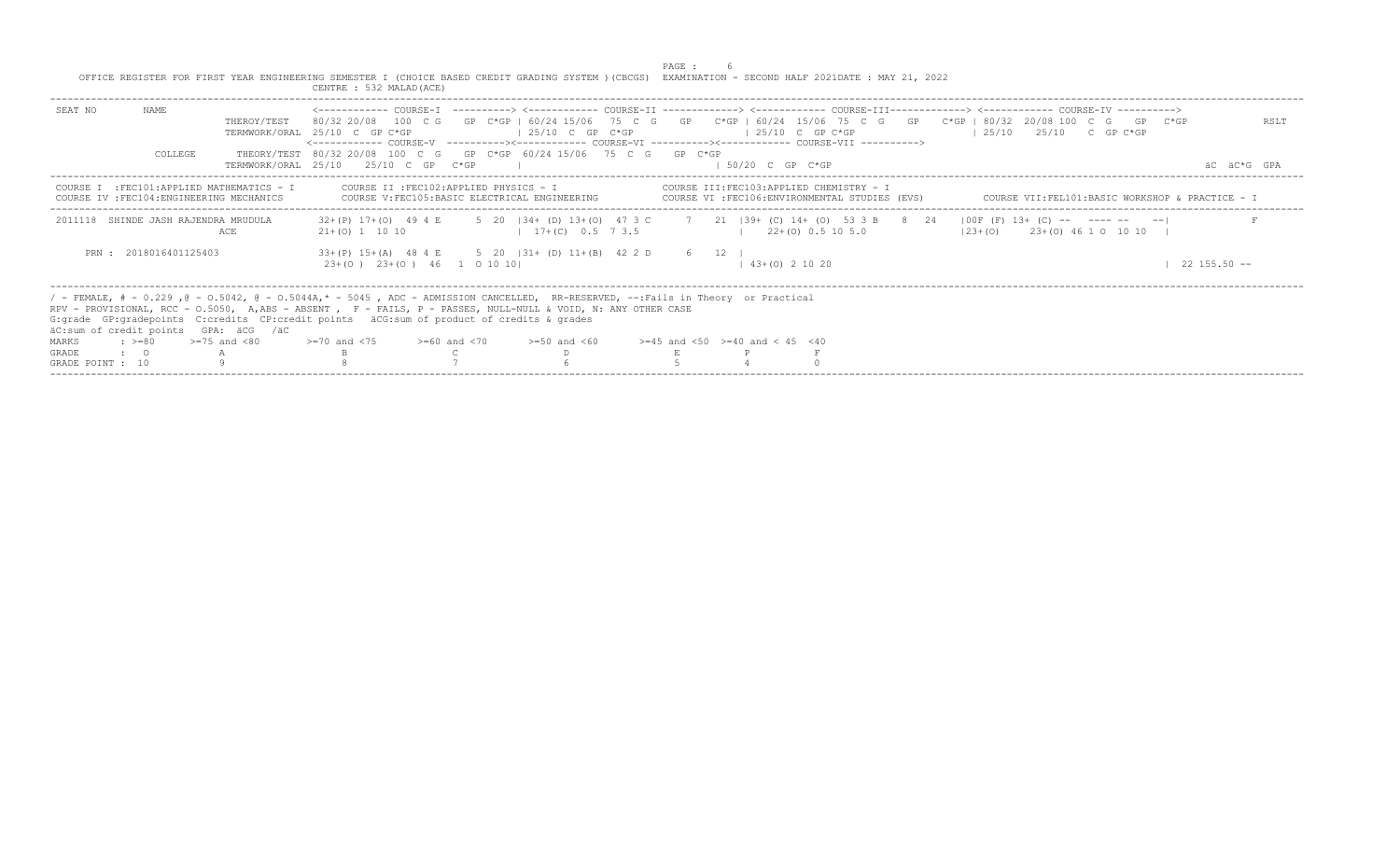|                  |                       |                                                                                         | OFFICE REGISTER FOR FIRST YEAR ENGINEERING SEMESTER I (CHOICE BASED CREDIT GRADING SYSTEM ) (CBCGS) EXAMINATION - SECOND HALF 2021DATE : MAY 21, 2022<br>CENTRE : 532 MALAD (ACE)                                                                                                                                                                                                                                                     |  |                                                        | PAGE : |                     |                          |                                                                                            |                                                 |  |                 |             |
|------------------|-----------------------|-----------------------------------------------------------------------------------------|---------------------------------------------------------------------------------------------------------------------------------------------------------------------------------------------------------------------------------------------------------------------------------------------------------------------------------------------------------------------------------------------------------------------------------------|--|--------------------------------------------------------|--------|---------------------|--------------------------|--------------------------------------------------------------------------------------------|-------------------------------------------------|--|-----------------|-------------|
| SEAT NO          | NAME                  | THEROY/TEST                                                                             | <------------ COURSE-T ----------> <----------- COURSE-TT -------------> <------------ COURSE-TTT------------> <------------ COURSE-TV -----------><br>80/32 20/08 100 C G GP C*GP I 60/24 15/06 75 C G GP C*GP I 60/24 15/06 75 C G GP C*GP I 80/32 20/08 100 C G GP C*GP<br>TERMWORK/ORAL 25/10 C GP C*GP<br><------------ COURSE-V    ----------><-----------    COURSE-VI    -----------><----------    COURSE-VII    ----------> |  | $125/10$ C GP C*GP                                     |        | $125/10$ C GP C*GP  |                          |                                                                                            | $125/10$ $25/10$ C GP C*GP                      |  |                 | RSLT        |
|                  | COLLEGE               |                                                                                         | THEORY/TEST 80/32 20/08 100 C G GP C*GP 60/24 15/06 75 C G GP C*GP<br>TERMWORK/ORAL 25/10 25/10 C GP C*GP                                                                                                                                                                                                                                                                                                                             |  |                                                        |        | $1.50/20$ C GP C*GP |                          |                                                                                            |                                                 |  |                 | AC AC*G GPA |
|                  |                       | COURSE I : FEC101: APPLIED MATHEMATICS - I<br>COURSE IV : FEC104: ENGINEERING MECHANICS | COURSE II : FEC102: APPLIED PHYSICS - I                                                                                                                                                                                                                                                                                                                                                                                               |  | COURSE V: FEC105: BASIC ELECTRICAL ENGINEERING         |        |                     |                          | COURSE III:FEC103:APPLIED CHEMISTRY - I<br>COURSE VI : FEC106: ENVIRONMENTAL STUDIES (EVS) | COURSE VII:FEL101:BASIC WORKSHOP & PRACTICE - I |  |                 |             |
|                  |                       | 2011118 SHINDE JASH RAJENDRA MRUDULA<br>ACE                                             | 32+(P) 17+(O) 49 4 E 5 20   34+ (D) 13+(O) 47 3 C 7 21   39+ (C) 14+ (O) 53 3 B 8 24   00F (F) 13+ (C) -- ---- -- -- --<br>$21+(0)$ 1 10 10                                                                                                                                                                                                                                                                                           |  | $17+(C)$ 0.5 7 3.5                                     |        | $122+(0)0.5105.0$   |                          |                                                                                            | $(23 + (0)$ $23 + (0)$ 46 1 0 10 10 1           |  |                 |             |
|                  | PRN: 2018016401125403 |                                                                                         | $23+(0)$ $23+(0)$ $46$ 1 0 10 10                                                                                                                                                                                                                                                                                                                                                                                                      |  | 33+(P) 15+(A) 48 4 E 5 20   31+ (D) 11+(B) 42 2 D 6 12 |        |                     | $1, 43 + (0), 2, 10, 20$ |                                                                                            |                                                 |  | $22$ 155.50 $-$ |             |
|                  |                       | äC:sum of credit points GPA: äCG /äC                                                    | / - FEMALE, # - 0.229, @ - 0.5042, @ - 0.5044A,* - 5045, ADC - ADMISSION CANCELLED, RR-RESERVED, --:Fails in Theory or Practical<br>RPV - PROVISIONAL, RCC - 0.5050, A,ABS - ABSENT , F - FAILS, P - PASSES, NULL-NULL & VOID, N: ANY OTHER CASE<br>G: grade GP: gradepoints C: credits CP: credit points äCG: sum of product of credits & grades                                                                                     |  |                                                        |        |                     |                          |                                                                                            |                                                 |  |                 |             |
| MARKS            | $: >=80$              | $>=75$ and $< 80$                                                                       | $> = 70$ and $\lt 75$ $> = 60$ and $\lt 70$ $> = 50$ and $\lt 60$ $> = 45$ and $\lt 50$ $> = 40$ and $\lt 45$ $\lt 40$                                                                                                                                                                                                                                                                                                                |  |                                                        |        |                     |                          |                                                                                            |                                                 |  |                 |             |
| <b>GRADE</b>     | $\cdot$ 0             |                                                                                         |                                                                                                                                                                                                                                                                                                                                                                                                                                       |  |                                                        |        |                     |                          |                                                                                            |                                                 |  |                 |             |
| GRADE POINT : 10 |                       |                                                                                         |                                                                                                                                                                                                                                                                                                                                                                                                                                       |  |                                                        |        |                     |                          |                                                                                            |                                                 |  |                 |             |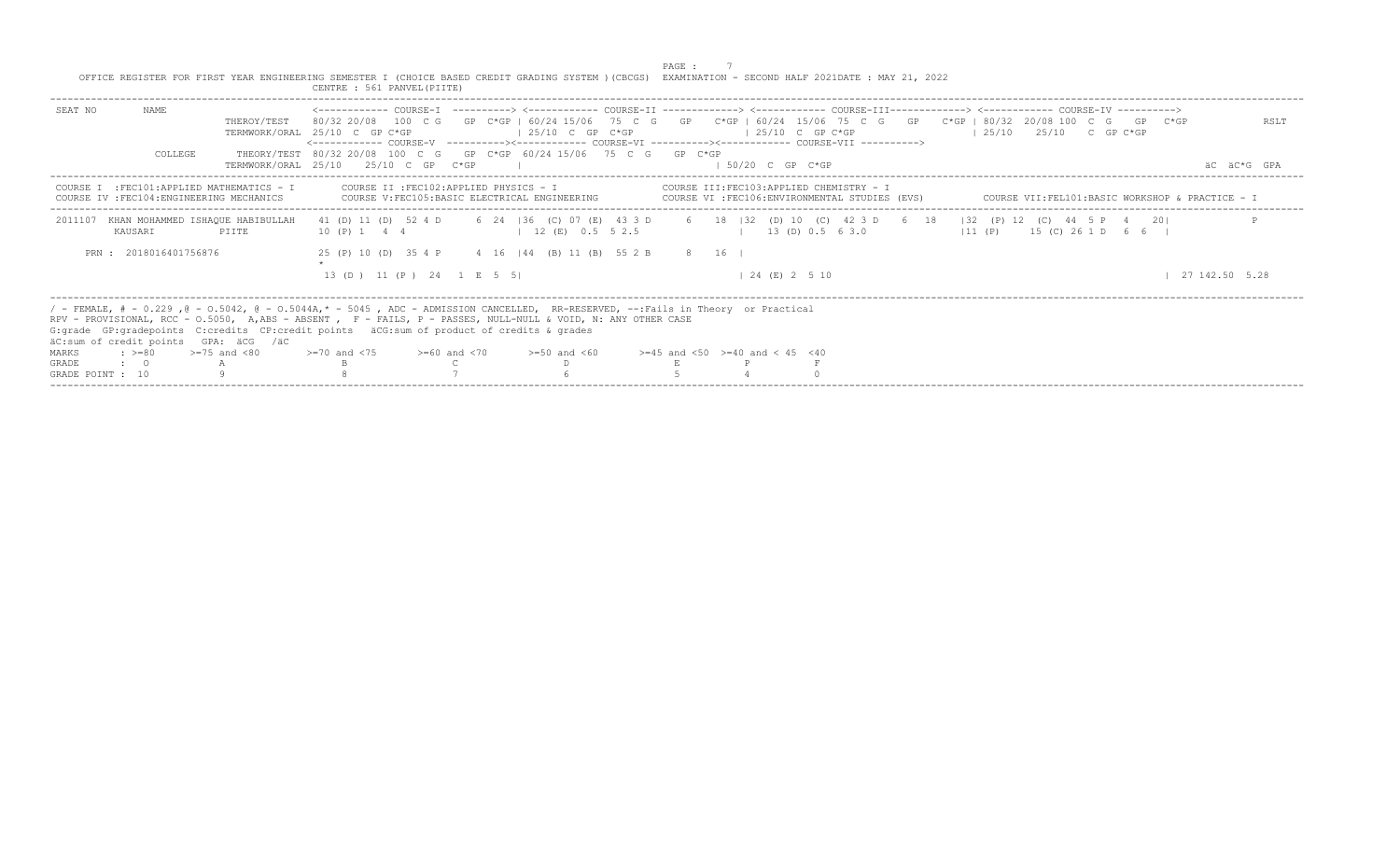|                                           |                                                                                         |                   | OFFICE REGISTER FOR FIRST YEAR ENGINEERING SEMESTER I (CHOICE BASED CREDIT GRADING SYSTEM ) (CBCGS) EXAMINATION - SECOND HALF 2021DATE : MAY 21, 2022<br>CENTRE : 561 PANVEL (PIITE)                                                                                                                                                                                                                    |                    | PAGE : |                                           |                                                                                            |                            |                                                   |               |                     |
|-------------------------------------------|-----------------------------------------------------------------------------------------|-------------------|---------------------------------------------------------------------------------------------------------------------------------------------------------------------------------------------------------------------------------------------------------------------------------------------------------------------------------------------------------------------------------------------------------|--------------------|--------|-------------------------------------------|--------------------------------------------------------------------------------------------|----------------------------|---------------------------------------------------|---------------|---------------------|
| SEAT NO                                   | NAME<br>COLLEGE                                                                         | THEROY/TEST       | 80/32 20/08 100 C G GP C*GP   60/24 15/06 75 C G GP C*GP   60/24 15/06 75 C G GP C*GP   80/32 20/08 100 C G GP C*GP<br>TERMWORK/ORAL 25/10 C GP C*GP<br><------------ COURSE-V    ----------><-----------    COURSE-VI    -----------><----------    COURSE-VII    ----------><br>THEORY/TEST 80/32 20/08 100 C G GP C*GP 60/24 15/06 75 C G GP C*GP<br>TERMWORK/ORAL 25/10 25/10 C GP C*GP             | $125/10$ C GP C*GP |        | $125/10$ C GP C*GP<br>$1.50/20$ C GP C*GP |                                                                                            | $125/10$ $25/10$ C GP C*GP |                                                   |               | RSLT<br>AC AC*G GPA |
|                                           | COURSE I : FEC101: APPLIED MATHEMATICS - I<br>COURSE IV : FEC104: ENGINEERING MECHANICS |                   | COURSE II : FEC102:APPLIED PHYSICS - I<br>COURSE V: FEC105: BASIC ELECTRICAL ENGINEERING                                                                                                                                                                                                                                                                                                                |                    |        |                                           | COURSE III: FEC103: APPLIED CHEMISTRY - I<br>COURSE VI :FEC106:ENVIRONMENTAL STUDIES (EVS) |                            | COURSE VII: FEL101: BASIC WORKSHOP & PRACTICE - I |               |                     |
| 2011107                                   | KHAN MOHAMMED ISHAOUE HABIBULLAH<br>KAUSARI                                             | PIITE             | 41 (D) 11 (D) 52 4 D 6 24   36 (C) 07 (E) 43 3 D 6 18   32 (D) 10 (C) 42 3 D 6 18   32 (P) 12 (C) 44 5 P 4 20 <br>10 (P) 1 4 4 4 12 (E) 0.5 5 2.5                                                                                                                                                                                                                                                       |                    |        |                                           | $(11 (P) 13 (D) 0.5 6 3.0)$ $(11 (P) 15 (C) 26 1 D 6 6)$                                   |                            |                                                   |               |                     |
|                                           | PRN: 2018016401756876                                                                   |                   | 25 (P) 10 (D) 35 4 P 4 16   44 (B) 11 (B) 55 2 B 8 16  <br>13 (D) 11 (P) 24 1 E 5 5                                                                                                                                                                                                                                                                                                                     |                    |        | $124$ (E) 2 5 10                          |                                                                                            |                            |                                                   | 127142.505.28 |                     |
| MARKS<br><b>GRADE</b><br>GRADE POINT : 10 | äC:sum of credit points GPA: äCG /äC<br>$: z = 80$<br>$\cdot$ 0                         | $>=75$ and $< 80$ | / - FEMALE, # - 0.229, @ - 0.5042, @ - 0.5044A,* - 5045, ADC - ADMISSION CANCELLED, RR-RESERVED, --:Fails in Theory or Practical<br>RPV - PROVISIONAL, RCC - O.5050, A.ABS - ABSENT , F - FAILS, P - PASSES, NULL-NULL & VOID, N: ANY OTHER CASE<br>G: qrade GP: qradepoints C: credits CP: credit points äCG: sum of product of credits & qrades<br>$>=70$ and $<75$ $>=60$ and $<70$ $>=50$ and $<60$ |                    |        | $>=45$ and $<50$ $>=40$ and $< 45$ $<40$  |                                                                                            |                            |                                                   |               |                     |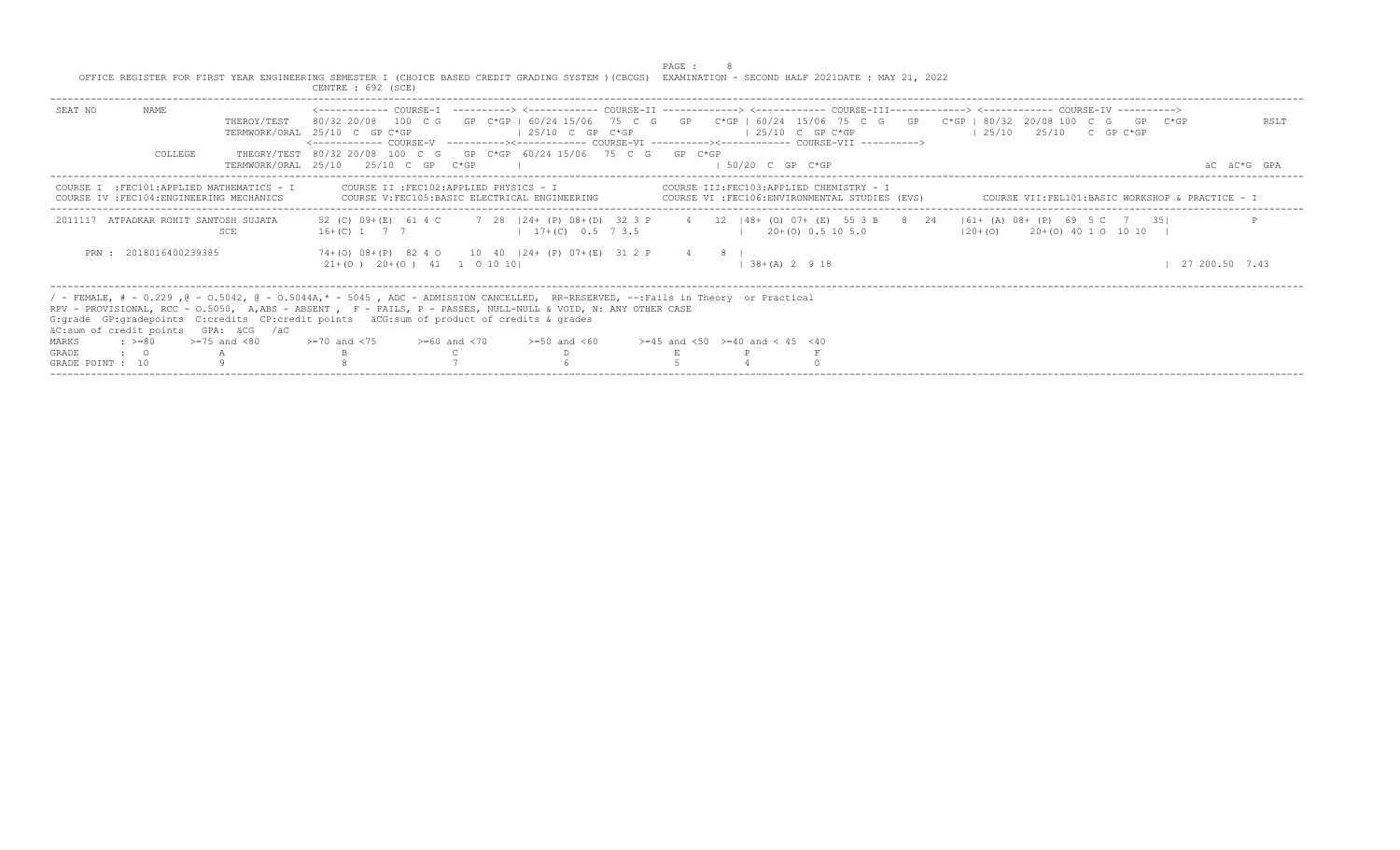|                  |                        |                                                                                         | OFFICE REGISTER FOR FIRST YEAR ENGINEERING SEMESTER I (CHOICE BASED CREDIT GRADING SYSTEM ) (CBCGS) EXAMINATION - SECOND HALF 2021DATE : MAY 21, 2022<br>CENTRE : 692 (SCE)                                                                                                                                                                                                                                                                                                                                |                    | PAGE : |                                         |                |                                                 |                                                 |  |                |
|------------------|------------------------|-----------------------------------------------------------------------------------------|------------------------------------------------------------------------------------------------------------------------------------------------------------------------------------------------------------------------------------------------------------------------------------------------------------------------------------------------------------------------------------------------------------------------------------------------------------------------------------------------------------|--------------------|--------|-----------------------------------------|----------------|-------------------------------------------------|-------------------------------------------------|--|----------------|
| SEAT NO          | NAME<br>COLLEGE        | THEROY/TEST                                                                             | <------------ COURSE-T ----------> <----------- COURSE-TT -------------> <------------ COURSE-TTT------------> <------------ COURSE-TV ----------><br>80/32 20/08 100 C G GP C*GP I 60/24 15/06 75 C G GP C*GP   60/24 15/06 75 C G GP C*GP   80/32 20/08 100 C G GP C*GP<br>TERMWORK/ORAL 25/10 C GP C*GP<br><------------ COURSE-V    ----------><-----------    COURSE-VI    -----------><----------    COURSE-VII    ----------><br>THEORY/TEST 80/32 20/08 100 C G GP C*GP 60/24 15/06 75 C G GP C*GP | $125/10$ C GP C*GP |        | $125/10$ C GP C*GP                      |                |                                                 | $125/10$ $25/10$ C GP C*GP                      |  | RSLT           |
|                  |                        |                                                                                         | TERMWORK/ORAT, 25/10 25/10 C GP C*GP                                                                                                                                                                                                                                                                                                                                                                                                                                                                       |                    |        | $1.50/20$ C GP C*GP                     |                |                                                 |                                                 |  | AC AC*G GPA    |
|                  |                        | COURSE I : FEC101: APPLIED MATHEMATICS - I<br>COURSE IV : FEC104: ENGINEERING MECHANICS | COURSE II :FEC102:APPLIED PHYSICS - I<br>COURSE V: FEC105: BASIC ELECTRICAL ENGINEERING                                                                                                                                                                                                                                                                                                                                                                                                                    |                    |        | COURSE III:FEC103:APPLIED CHEMISTRY - I |                | COURSE VI : FEC106: ENVIRONMENTAL STUDIES (EVS) | COURSE VII:FEL101:BASIC WORKSHOP & PRACTICE - I |  |                |
|                  |                        | 2011117 ATPADKAR ROHIT SANTOSH SUJATA<br>SCE                                            | 52 (C) 09+(E) 61 4 C 7 28   24+ (P) 08+(D) 32 3 P 4 12   48+ (O) 07+ (E) 55 3 B 8 24   61+ (A) 08+ (P) 69 5 C 7 35 <br>$16+(C)$ 1 7 7 1 17+(C) 0.5 7 3.5                                                                                                                                                                                                                                                                                                                                                   |                    |        | $1 \t20+(0) \t0.5 \t10 \t5.0$           |                |                                                 | $(20+(0)$ $20+(0)$ 40 1 0 10 10                 |  |                |
|                  | PRN : 2018016400239385 |                                                                                         | 74+(0) 08+(P) 82 4 0 10 40   24+ (P) 07+(E) 31 2 P 4 8  <br>$21+ (0)$ $20+ (0)$ $41$ 1 0 10 10                                                                                                                                                                                                                                                                                                                                                                                                             |                    |        |                                         | $138+(A) 2918$ |                                                 |                                                 |  | 27 200.50 7.43 |
|                  |                        | äC:sum of credit points GPA: äCG /äC                                                    | / - FEMALE, # - 0.229, @ - 0.5042, @ - 0.5044A,* - 5045, ADC - ADMISSION CANCELLED, RR-RESERVED, --:Fails in Theory or Practical<br>RPV - PROVISIONAL, RCC - 0.5050, A.ABS - ABSENT , F - FAILS, P - PASSES, NULL-NULL & VOID, N: ANY OTHER CASE<br>G: grade GP: gradepoints C: credits CP: credit points äCG: sum of product of credits & grades                                                                                                                                                          |                    |        |                                         |                |                                                 |                                                 |  |                |
| MARKS            | $: z = 80$             | $>=75$ and $< 80$                                                                       | $> = 70$ and $< 75$ $> = 60$ and $< 70$ $> = 50$ and $< 60$ $> = 45$ and $< 50$ $> = 40$ and $< 45$ $< 40$                                                                                                                                                                                                                                                                                                                                                                                                 |                    |        |                                         |                |                                                 |                                                 |  |                |
| <b>GRADE</b>     | $\cdot$ 0              |                                                                                         |                                                                                                                                                                                                                                                                                                                                                                                                                                                                                                            |                    |        |                                         |                |                                                 |                                                 |  |                |
| GRADE POINT : 10 |                        |                                                                                         |                                                                                                                                                                                                                                                                                                                                                                                                                                                                                                            |                    |        |                                         |                |                                                 |                                                 |  |                |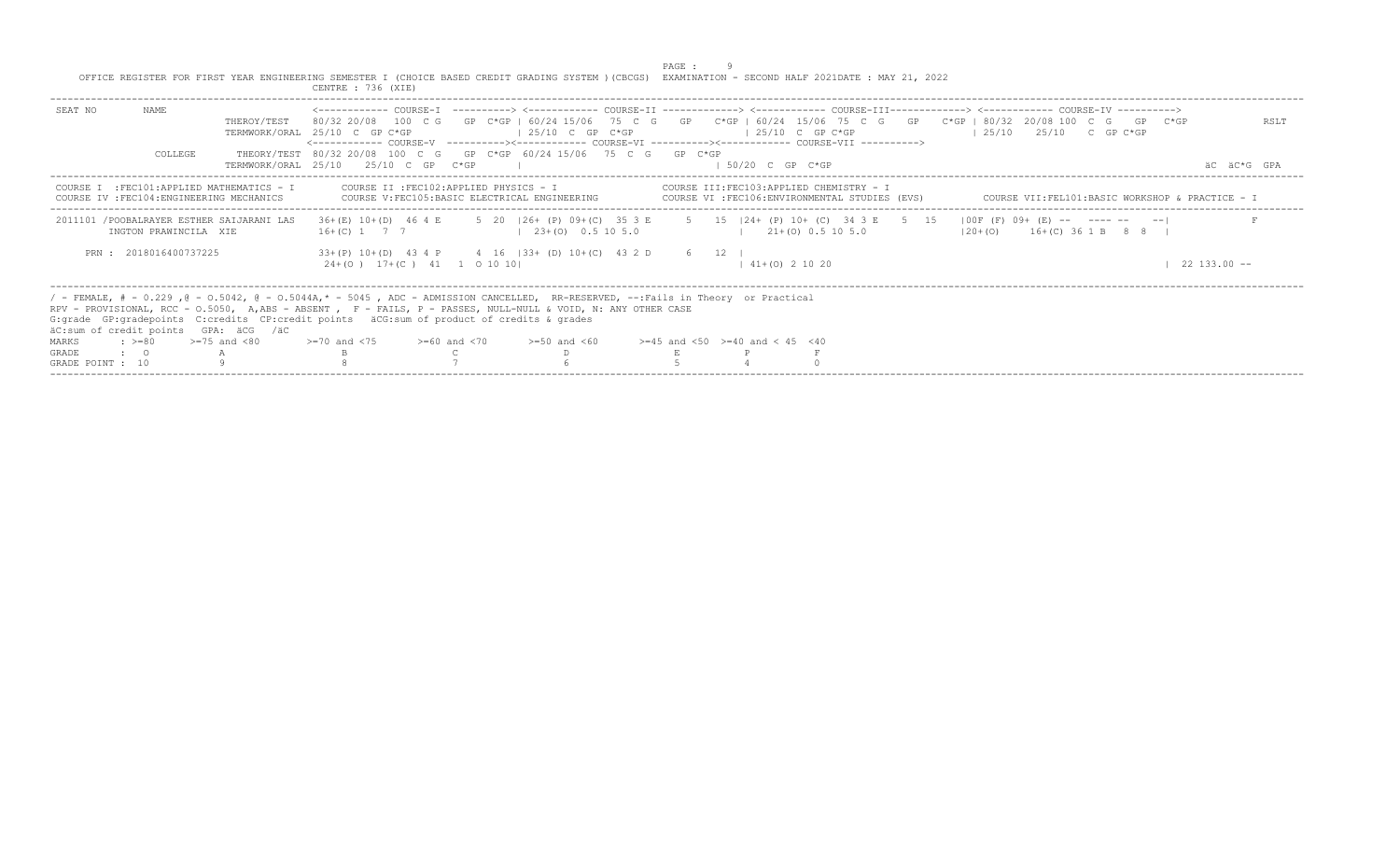|                                                                                                                                                       |  |                    |  |  |  | PAGE : |  |  |  |
|-------------------------------------------------------------------------------------------------------------------------------------------------------|--|--------------------|--|--|--|--------|--|--|--|
| OFFICE REGISTER FOR FIRST YEAR ENGINEERING SEMESTER I (CHOICE BASED CREDIT GRADING SYSTEM ) (CBCGS) EXAMINATION - SECOND HALF 2021DATE : MAY 21, 2022 |  |                    |  |  |  |        |  |  |  |
|                                                                                                                                                       |  | CENTRE : 736 (XIE) |  |  |  |        |  |  |  |

| NAME.<br>SEAT NO<br>THEROY/TEST                                                                        | 80/32 20/08 100 C G GP C*GP   60/24 15/06 75 C G GP C*GP   60/24 15/06 75 C G GP C*GP   80/32 20/08 100 C G GP C*GP<br>TERMWORK/ORAL 25/10 C GP C*GP<br>$125/10$ C GP C*GP<br><------------ COURSE-V ----------><------------ COURSE-VI ----------><------------ COURSE-VII ---------->>                                                                                                                                            | $125/10$ C GP C*GP                                                                         | RSLT<br>$125/10$ $25/10$ C GP C*GP              |
|--------------------------------------------------------------------------------------------------------|-------------------------------------------------------------------------------------------------------------------------------------------------------------------------------------------------------------------------------------------------------------------------------------------------------------------------------------------------------------------------------------------------------------------------------------|--------------------------------------------------------------------------------------------|-------------------------------------------------|
| COLLEGE                                                                                                | THEORY/TEST 80/32 20/08 100 C G GP C*GP 60/24 15/06 75 C G GP C*GP<br>TERMWORK/ORAL 25/10 25/10 C GP C*GP                                                                                                                                                                                                                                                                                                                           | 50/20 C GP C*GP                                                                            | äC äC*G GPA                                     |
| COURSE I : FEC101: APPLIED MATHEMATICS - I<br>COURSE IV : FEC104: ENGINEERING MECHANICS                | COURSE II : FEC102:APPLIED PHYSICS - I<br>COURSE V: FEC105: BASIC ELECTRICAL ENGINEERING                                                                                                                                                                                                                                                                                                                                            | COURSE III: FEC103: APPLIED CHEMISTRY - I<br>COURSE VI :FEC106:ENVIRONMENTAL STUDIES (EVS) | COURSE VII:FEL101:BASIC WORKSHOP & PRACTICE - I |
| 2011101 /POOBALRAYER ESTHER SAIJARANI LAS<br>INGTON PRAWINCILA XIE                                     | 36+(E) 10+(D) 46 4 E 5 20   26+ (P) 09+(C) 35 3 E 5 15   24+ (P) 10+ (C) 34 3 E 5 15   00F (F) 09+ (E) -- ------ -- -- <br>$16+(C)$ 1 7 7<br>$123+(0)0.5105.0$                                                                                                                                                                                                                                                                      | $1 \t21+(0) \t0.5 \t10 \t5.0$                                                              | $ 20+(0)$ 16+(C) 36 1 B 8 8                     |
| PRN: 2018016400737225                                                                                  | $33+(P)$ 10+(D) 43 4 P 4 16   33+ (D) 10+(C) 43 2 D 6 12  <br>$24+(0)$ 17+(C) 41 1 0 10 10                                                                                                                                                                                                                                                                                                                                          | $41+(0)$ 2 10 20                                                                           | $22.133.00 - -$                                 |
| äC:sum of credit points GPA: äCG /äC<br>MARKS<br><b>GRADE</b><br>$\cdot$ $\cdot$ 0<br>GRADE POINT : 10 | / - FEMALE, # - 0.229, @ - 0.5042, @ - 0.5044A,* - 5045, ADC - ADMISSION CANCELLED, RR-RESERVED, --:Fails in Theory or Practical<br>RPV - PROVISIONAL, RCC - 0.5050, A,ABS - ABSENT , F - FAILS, P - PASSES, NULL-NULL & VOID, N: ANY OTHER CASE<br>G: qrade GP: qradepoints C: credits CP: credit points äCG: sum of product of credits & qrades<br>: $> = 80$ $> = 75$ and <80 $> = 70$ and <75 $> = 60$ and <70 $> = 50$ and <60 | $>=45$ and $<50$ $>=40$ and $< 45$ $<40$                                                   |                                                 |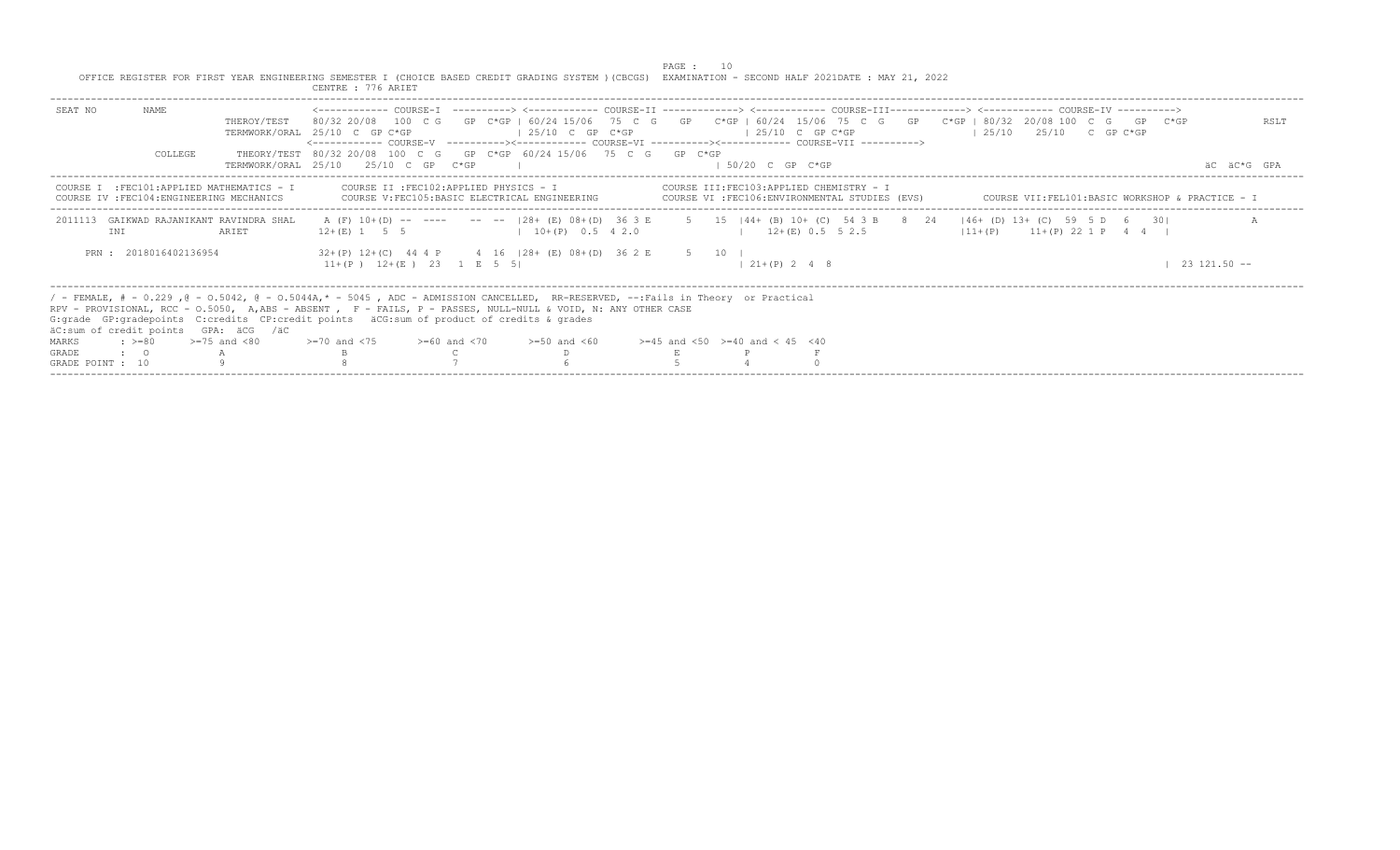|                                                                                                                                                       | PAGE : |
|-------------------------------------------------------------------------------------------------------------------------------------------------------|--------|
| OFFICE REGISTER FOR FIRST YEAR ENGINEERING SEMESTER I (CHOICE BASED CREDIT GRADING SYSTEM ) (CBCGS) EXAMINATION - SECOND HALF 2021DATE : MAY 21, 2022 |        |
| CENTRE : 776 ARIET                                                                                                                                    |        |

| NAMF.<br>SEAT NO<br>THEROY/TEST                                                                   | 80/32 20/08 100 C G GP C*GP   60/24 15/06 75 C G GP C*GP   60/24 15/06 75 C G GP C*GP   80/32 20/08 100 C G GP C*GP<br>$125/10$ C GP C*GP<br>TERMWORK/ORAL 25/10 C GP C*GP                                                                                                                                                                                                                                                                                     | $125/10$ C GP C*GP                                                                       | RSLT<br>$125/10$ $25/10$ C GP C*GP              |
|---------------------------------------------------------------------------------------------------|----------------------------------------------------------------------------------------------------------------------------------------------------------------------------------------------------------------------------------------------------------------------------------------------------------------------------------------------------------------------------------------------------------------------------------------------------------------|------------------------------------------------------------------------------------------|-------------------------------------------------|
| COLLEGE                                                                                           | <------------ COURSE-V -----------><----------- COURSE-VI -----------><----------- COURSE-VII -----------><br>THEORY/TEST 80/32 20/08 100 C G GP C*GP 60/24 15/06 75 C G GP C*GP<br>TERMWORK/ORAL 25/10 25/10 C GP C*GP                                                                                                                                                                                                                                        | 1 50/20 C GP C*GP                                                                        | äC äC*G GPA                                     |
| COURSE I : FEC101: APPLIED MATHEMATICS - I<br>IV : FEC104: ENGINEERING MECHANICS<br><b>COURSE</b> | COURSE II :FEC102:APPLIED PHYSICS - I<br>COURSE V:FEC105:BASIC ELECTRICAL ENGINEERING                                                                                                                                                                                                                                                                                                                                                                          | COURSE III:FEC103:APPLIED CHEMISTRY - I<br>COURSE VI :FEC106:ENVIRONMENTAL STUDIES (EVS) | COURSE VII:FEL101:BASIC WORKSHOP & PRACTICE - I |
| GAIKWAD RAJANIKANT RAVINDRA SHAL<br>2011113<br>ARIET<br>INI                                       | A (F) 10+(D) -- ---- -- --  28+ (E) 08+(D) 36 3 E 5 15  44+ (B) 10+ (C) 54 3 B 8 24  46+ (D) 13+ (C) 59 5 D 6 30 <br>$12 + (E)$ 1 5 5 1 $10+ (P)$ 0.5 4 2.0                                                                                                                                                                                                                                                                                                    | $12+(E)$ 0.5 5 2.5                                                                       | $11+(P)$ $11+(P)$ 22 1 P 4 4                    |
| PRN: 2018016402136954                                                                             | $32+(P)$ 12+(C) 44 4 P 4 16   28+ (E) 08+ (D) 36 2 E 5 10  <br>$11+(P)$ $12+(E)$ $23$ $1 E$ 5 5                                                                                                                                                                                                                                                                                                                                                                | $21+(P)$ 2 4 8                                                                           | $23, 121, 50$ --                                |
| äC:sum of credit points GPA: äCG /äC<br>MARKS<br>GRADE<br>$\cdot$ $\cdot$ 0<br>GRADE POINT : 10   | / - FEMALE, # - 0.229, @ - 0.5042, @ - 0.5044A,* - 5045, ADC - ADMISSION CANCELLED, RR-RESERVED, --:Fails in Theory or Practical<br>RPV - PROVISIONAL, RCC - 0.5050, A,ABS - ABSENT , F - FAILS, P - PASSES, NULL-NULL & VOID, N: ANY OTHER CASE<br>G:grade GP:gradepoints C:credits CP:credit points äCG:sum of product of credits & grades<br>: >=80 $\rightarrow$ =75 and <80 $\rightarrow$ =70 and <75 $\rightarrow$ =60 and <70 $\rightarrow$ =50 and <60 | $>=45$ and $<50$ $>=40$ and $< 45$ $<40$                                                 |                                                 |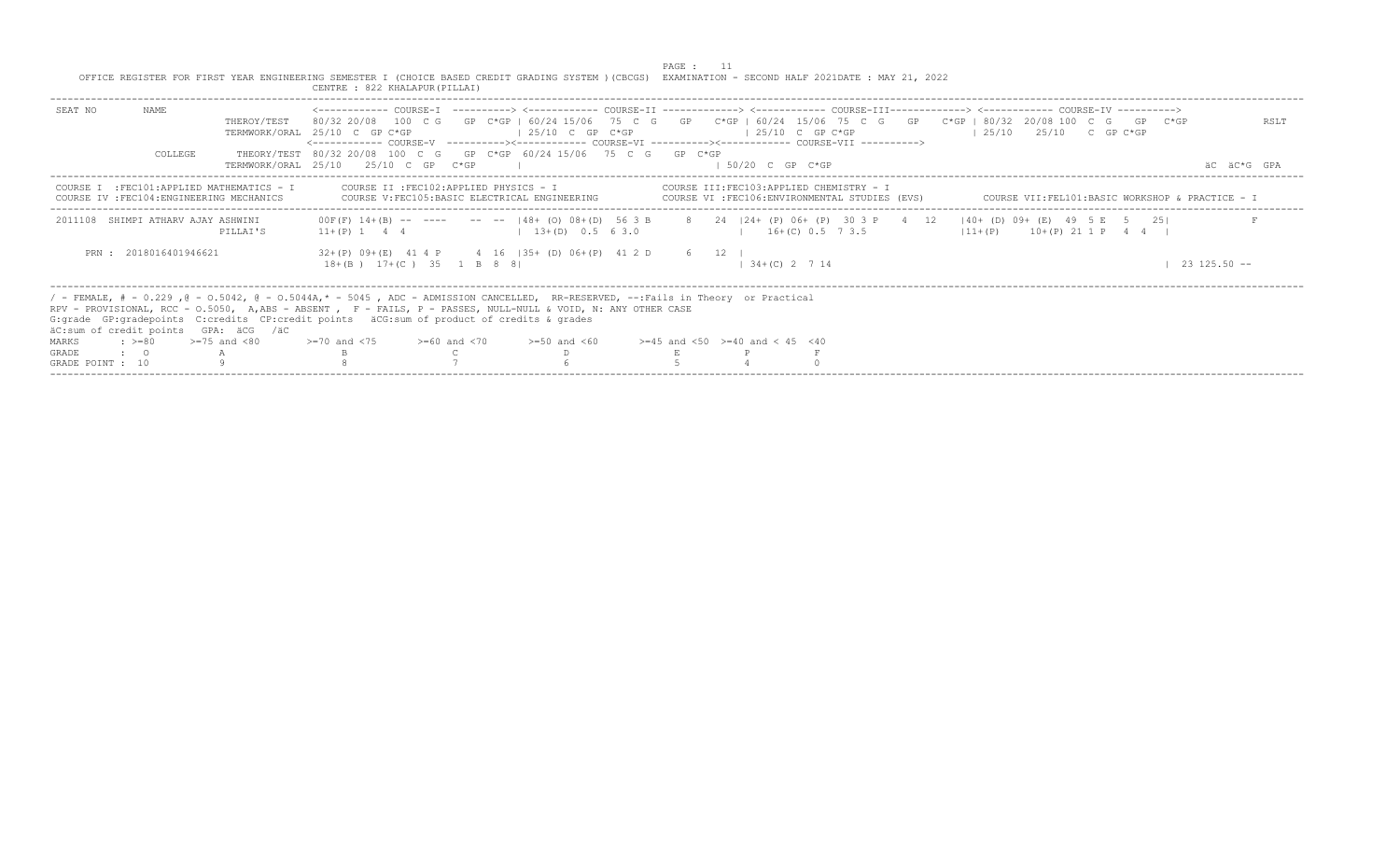|                  |                       |                                                                                         | OFFICE REGISTER FOR FIRST YEAR ENGINEERING SEMESTER I (CHOICE BASED CREDIT GRADING SYSTEM ) (CBCGS) EXAMINATION - SECOND HALF 2021DATE : MAY 21, 2022<br>CENTRE : 822 KHALAPUR (PILLAI)                                                                                                                                                           |                                                        | PAGE : 11 |                     |                                                                                            |                                                                                                                                                                                                                                                                                                          |                  |  |
|------------------|-----------------------|-----------------------------------------------------------------------------------------|---------------------------------------------------------------------------------------------------------------------------------------------------------------------------------------------------------------------------------------------------------------------------------------------------------------------------------------------------|--------------------------------------------------------|-----------|---------------------|--------------------------------------------------------------------------------------------|----------------------------------------------------------------------------------------------------------------------------------------------------------------------------------------------------------------------------------------------------------------------------------------------------------|------------------|--|
| SEAT NO          | NAME                  | THEROY/TEST                                                                             | TERMWORK/ORAL 25/10 C GP C*GP<br><------------ COURSE-V    ----------><----------- COURSE-VI    ----------><---------- COURSE-VII    ---------->>                                                                                                                                                                                                 | $125/10$ C GP C*GP                                     |           | $125/10$ C GP C*GP  |                                                                                            | <------------ COURSE-T ----------> <----------- COURSE-TT -------------> <------------ COURSE-TTT------------> <------------ COURSE-TV -----------><br>80/32 20/08 100 C G GP C*GP I 60/24 15/06 75 C G GP C*GP   60/24 15/06 75 C G GP C*GP   80/32 20/08 100 C G GP C*GP<br>$125/10$ $25/10$ C GP C*GP | RSLT             |  |
|                  | COLLEGE               |                                                                                         | THEORY/TEST 80/32 20/08 100 C G GP C*GP 60/24 15/06 75 C G GP C*GP<br>TERMWORK/ORAL 25/10 25/10 C GP C*GP                                                                                                                                                                                                                                         |                                                        |           | $1.50/20$ C GP C*GP |                                                                                            |                                                                                                                                                                                                                                                                                                          | AC AC*G GPA      |  |
|                  |                       | COURSE I : FEC101: APPLIED MATHEMATICS - I<br>COURSE IV : FEC104: ENGINEERING MECHANICS | COURSE II : FEC102: APPLIED PHYSICS - I                                                                                                                                                                                                                                                                                                           | COURSE V: FEC105: BASIC ELECTRICAL ENGINEERING         |           |                     | COURSE III:FEC103:APPLIED CHEMISTRY - I<br>COURSE VI : FEC106: ENVIRONMENTAL STUDIES (EVS) | COURSE VII:FEL101:BASIC WORKSHOP & PRACTICE - I                                                                                                                                                                                                                                                          |                  |  |
|                  |                       | 2011108 SHIMPI ATHARV AJAY ASHWINI<br>PILLAI'S                                          |                                                                                                                                                                                                                                                                                                                                                   | $11+(P)$ 1 4 4 $13+(D)$ 0.5 6 3.0 $1 + (P)$ 0.5 7 3.5  |           |                     |                                                                                            | 00F(F) 14+(B) -- ---- -- --  48+ (O) 08+(D) 56 3 B 8 24  24+ (P) 06+ (P) 30 3 P 4 12  40+ (D) 09+ (E) 49 5 E 5 25 <br>$11 + (P)$ $10 + (P)$ $21$ 1 P 4 4                                                                                                                                                 |                  |  |
|                  | PRN: 2018016401946621 |                                                                                         | 18+(B) 17+(C) 35 1 B 8 8                                                                                                                                                                                                                                                                                                                          | 32+(P) 09+(E) 41 4 P 4 16   35+ (D) 06+(P) 41 2 D 6 12 |           | $1, 34+(C)$ 2 7 14  |                                                                                            |                                                                                                                                                                                                                                                                                                          | $23\ 125.50 - -$ |  |
|                  |                       | äC:sum of credit points GPA: äCG /äC                                                    | / - FEMALE, # - 0.229, @ - 0.5042, @ - 0.5044A,* - 5045, ADC - ADMISSION CANCELLED, RR-RESERVED, --:Fails in Theory or Practical<br>RPV - PROVISIONAL, RCC - 0.5050, A,ABS - ABSENT , F - FAILS, P - PASSES, NULL-NULL & VOID, N: ANY OTHER CASE<br>G: qrade GP: qradepoints C: credits CP: credit points äCG: sum of product of credits & qrades |                                                        |           |                     |                                                                                            |                                                                                                                                                                                                                                                                                                          |                  |  |
| MARKS            | $: z = 80$            | $>=75$ and $< 80$                                                                       | $>1$ 20 and $<$ 75 $>$ $>$ = 60 and $<$ 70 $>$ = 50 and $<$ 60 $>$ = 45 and $<$ 50 $>$ = 40 and $<$ 45 $<$ 40                                                                                                                                                                                                                                     |                                                        |           |                     |                                                                                            |                                                                                                                                                                                                                                                                                                          |                  |  |
| GRADE            | $\cdot$ 0             |                                                                                         |                                                                                                                                                                                                                                                                                                                                                   |                                                        |           |                     |                                                                                            |                                                                                                                                                                                                                                                                                                          |                  |  |
| GRADE POINT : 10 |                       |                                                                                         |                                                                                                                                                                                                                                                                                                                                                   |                                                        |           |                     |                                                                                            |                                                                                                                                                                                                                                                                                                          |                  |  |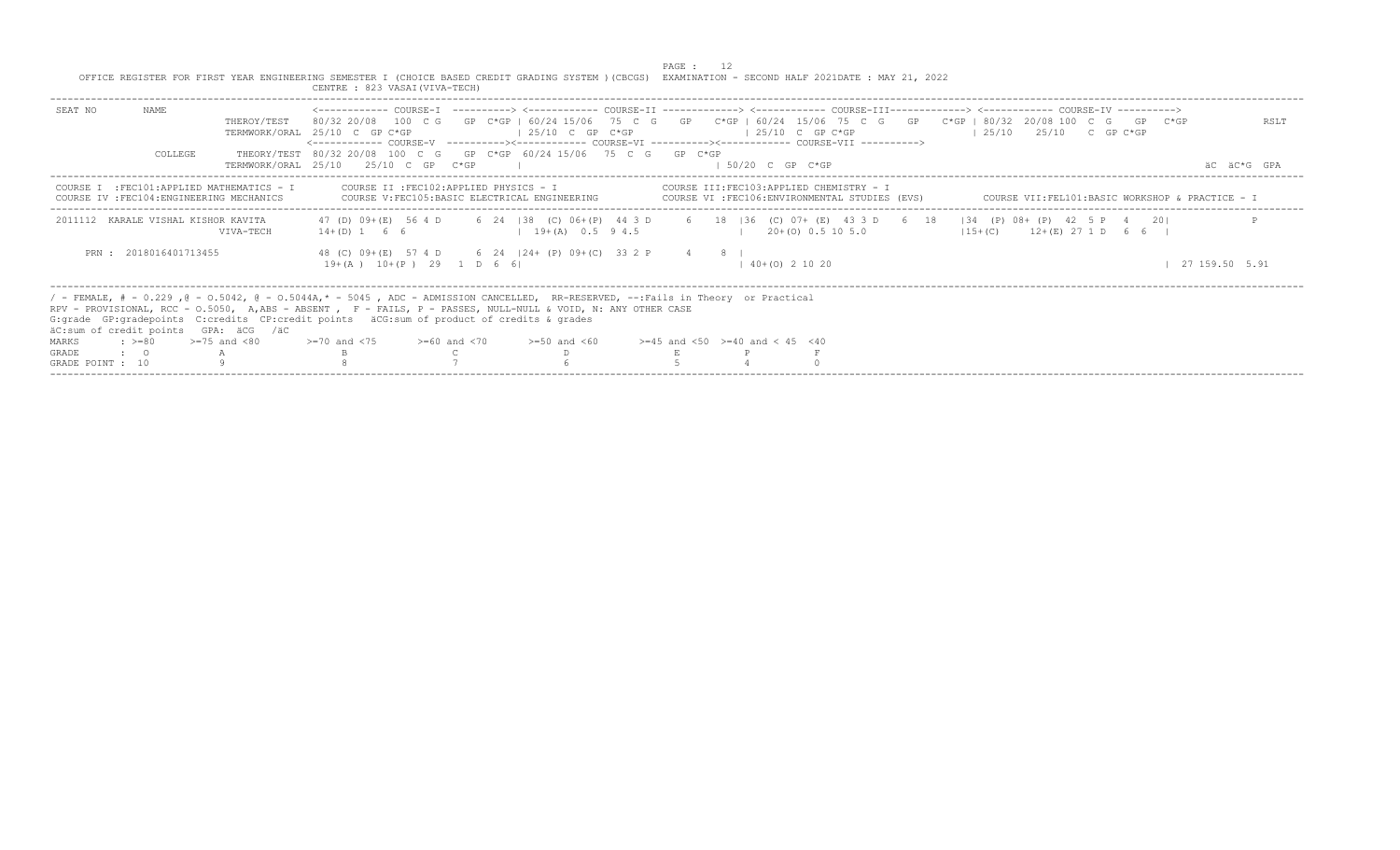|                  |                                |                                                                                         | OFFICE REGISTER FOR FIRST YEAR ENGINEERING SEMESTER I (CHOICE BASED CREDIT GRADING SYSTEM ) (CBCGS) EXAMINATION - SECOND HALF 2021DATE : MAY 21, 2022<br>CENTRE : 823 VASAI (VIVA-TECH)                                                                                                                                                                                                                                                                                                                     |                    | PAGE : |                                                                                          |  |  |                                                 |                |
|------------------|--------------------------------|-----------------------------------------------------------------------------------------|-------------------------------------------------------------------------------------------------------------------------------------------------------------------------------------------------------------------------------------------------------------------------------------------------------------------------------------------------------------------------------------------------------------------------------------------------------------------------------------------------------------|--------------------|--------|------------------------------------------------------------------------------------------|--|--|-------------------------------------------------|----------------|
| SEAT NO          | NAME<br>COLLEGE                | THEROY/TEST                                                                             | <------------ COURSE-T ----------> <----------- COURSE-TT -------------> <------------ COURSE-TTT------------> <------------ COURSE-TV -----------><br>80/32 20/08 100 C G GP C*GP I 60/24 15/06 75 C G GP C*GP   60/24 15/06 75 C G GP C*GP   80/32 20/08 100 C G GP C*GP<br>TERMWORK/ORAL 25/10 C GP C*GP<br><------------ COURSE-V    ----------><-----------    COURSE-VI    -----------><----------    COURSE-VII    ----------><br>THEORY/TEST 80/32 20/08 100 C G GP C*GP 60/24 15/06 75 C G GP C*GP | $125/10$ C GP C*GP |        | $125/10$ C GP C*GP                                                                       |  |  | $125/10$ $25/10$ C GP C*GP                      | RSLT           |
|                  |                                |                                                                                         | TERMWORK/ORAL 25/10 25/10 C GP C*GP                                                                                                                                                                                                                                                                                                                                                                                                                                                                         |                    |        | $1.50/20$ C GP C*GP                                                                      |  |  |                                                 | AC AC*G GPA    |
|                  |                                | COURSE I : FEC101: APPLIED MATHEMATICS - I<br>COURSE IV : FEC104: ENGINEERING MECHANICS | COURSE II : FEC102: APPLIED PHYSICS - I<br>COURSE V: FEC105: BASIC ELECTRICAL ENGINEERING                                                                                                                                                                                                                                                                                                                                                                                                                   |                    |        | COURSE III:FEC103:APPLIED CHEMISTRY - I<br>COURSE VI :FEC106:ENVIRONMENTAL STUDIES (EVS) |  |  | COURSE VII:FEL101:BASIC WORKSHOP & PRACTICE - I |                |
|                  |                                | 2011112 KARALE VISHAL KISHOR KAVITA<br>VIVA-TECH                                        | 47 (D) 09+ (E) 56 4 D 6 24   38 (C) 06+ (P) 44 3 D 6 18   36 (C) 07+ (E) 43 3 D 6 18   34 (P) 08+ (P) 42 5 P 4 20 <br>$14+(D)$ 1 6 6                                                                                                                                                                                                                                                                                                                                                                        | $19+(A)$ 0.5 9 4.5 |        | $120+(0)0.5105.0$                                                                        |  |  | $(15 + (C))$ $12 + (E)$ 27 1 D 6 6 I            |                |
|                  | PRN: 2018016401713455          |                                                                                         | 48 (C) 09+(E) 57 4 D 6 24   24+ (P) 09+ (C) 33 2 P 4 8  <br>$19+(A)$ $10+(P)$ 29 1 D 6 6                                                                                                                                                                                                                                                                                                                                                                                                                    |                    |        | $140+ (0) 21020$                                                                         |  |  |                                                 | 27 159.50 5.91 |
|                  |                                | äC:sum of credit points GPA: äCG /äC                                                    | / - FEMALE, # - 0.229, @ - 0.5042, @ - 0.5044A,* - 5045, ADC - ADMISSION CANCELLED, RR-RESERVED, --:Fails in Theory or Practical<br>RPV - PROVISIONAL, RCC - 0.5050, A,ABS - ABSENT , F - FAILS, P - PASSES, NULL-NULL & VOID, N: ANY OTHER CASE<br>G: grade GP: gradepoints C: credits CP: credit points äCG: sum of product of credits & grades                                                                                                                                                           |                    |        |                                                                                          |  |  |                                                 |                |
| MARKS            | $\Rightarrow$ $\Rightarrow$ 80 | $>=75$ and $<80$                                                                        | $\ge$ =70 and <75 $\ge$ =60 and <70 $\ge$ =50 and <60 $\ge$ =45 and <50 $\ge$ =40 and < 45 <40                                                                                                                                                                                                                                                                                                                                                                                                              |                    |        |                                                                                          |  |  |                                                 |                |
| GRADE            | $\cdot$ 0                      |                                                                                         |                                                                                                                                                                                                                                                                                                                                                                                                                                                                                                             |                    |        |                                                                                          |  |  |                                                 |                |
| GRADE POINT : 10 |                                |                                                                                         |                                                                                                                                                                                                                                                                                                                                                                                                                                                                                                             |                    |        |                                                                                          |  |  |                                                 |                |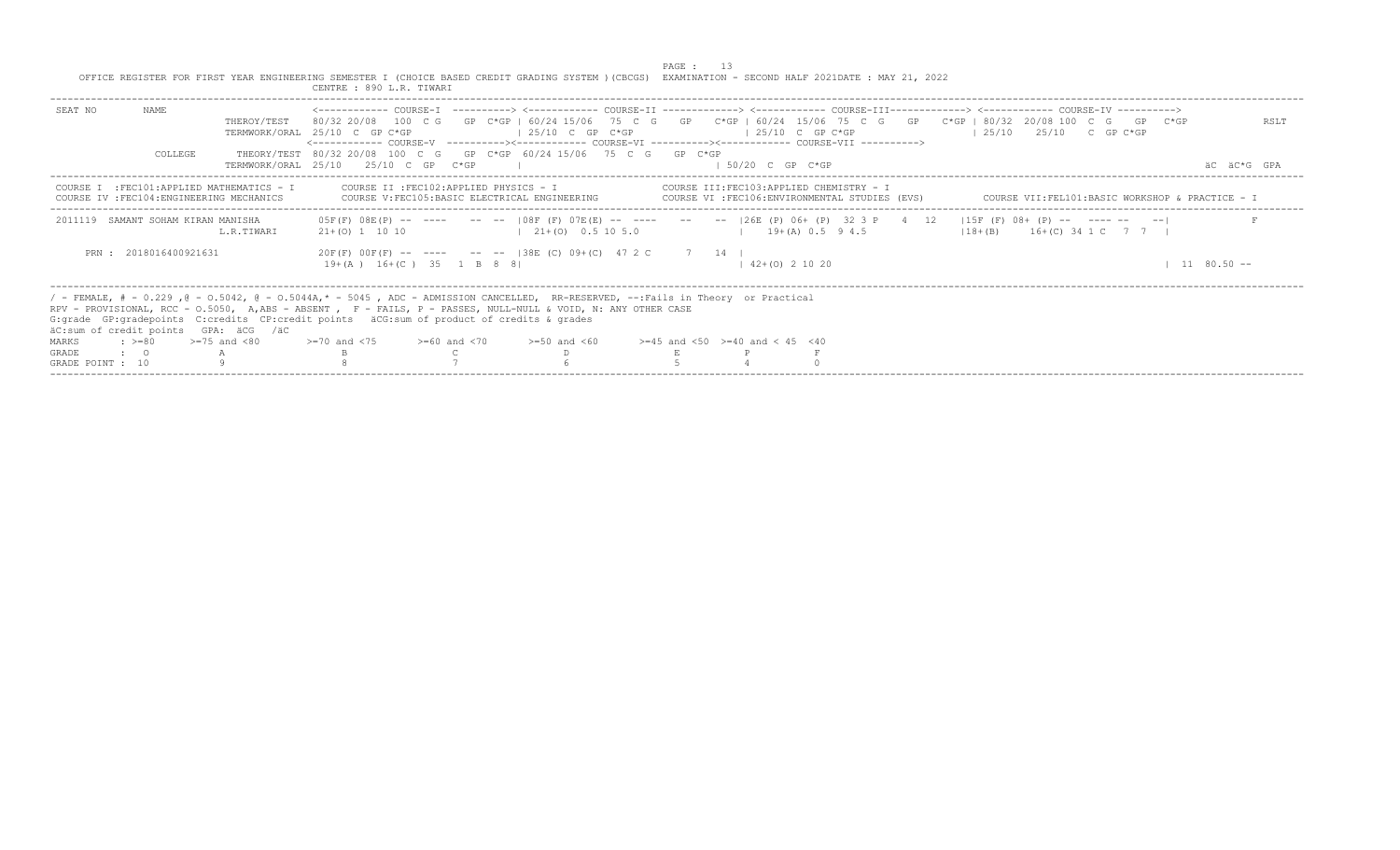|                                         |                       |                                                                                         | OFFICE REGISTER FOR FIRST YEAR ENGINEERING SEMESTER I (CHOICE BASED CREDIT GRADING SYSTEM ) (CBCGS) EXAMINATION - SECOND HALF 2021DATE : MAY 21, 2022<br>CENTRE : 890 L.R. TIWARI                                                                                                                                                                                                           |                                                                                                | PAGE : |                                           |                                         |  |                                                 |             |      |
|-----------------------------------------|-----------------------|-----------------------------------------------------------------------------------------|---------------------------------------------------------------------------------------------------------------------------------------------------------------------------------------------------------------------------------------------------------------------------------------------------------------------------------------------------------------------------------------------|------------------------------------------------------------------------------------------------|--------|-------------------------------------------|-----------------------------------------|--|-------------------------------------------------|-------------|------|
| SEAT NO                                 | NAME<br>COLLEGE       | THEROY/TEST                                                                             | 80/32 20/08 100 C G GP C*GP I 60/24 15/06 75 C G GP C*GP   60/24 15/06 75 C G GP C*GP   80/32 20/08 100 C G GP C*GP<br>TERMWORK/ORAL 25/10 C GP C*GP<br><------------ COURSE-V    ----------><-----------    COURSE-VI    -----------><----------    COURSE-VII    ----------><br>THEORY/TEST 80/32 20/08 100 C G GP C*GP 60/24 15/06 75 C G GP C*GP<br>TERMWORK/ORAL 25/10 25/10 C GP C*GP | $125/10$ C GP C*GP                                                                             |        | $125/10$ C GP C*GP<br>$1.50/20$ C GP C*GP |                                         |  | $125/10$ $25/10$ C GP C*GP                      | AC AC*G GPA | RSLT |
|                                         |                       | COURSE I : FEC101: APPLIED MATHEMATICS - I<br>COURSE IV : FEC104: ENGINEERING MECHANICS | COURSE II : FEC102: APPLIED PHYSICS - I                                                                                                                                                                                                                                                                                                                                                     | COURSE V: FEC105: BASIC ELECTRICAL ENGINEERING COURSE VI : FEC106: ENVIRONMENTAL STUDIES (EVS) |        |                                           | COURSE III:FEC103:APPLIED CHEMISTRY - I |  | COURSE VII:FEL101:BASIC WORKSHOP & PRACTICE - I |             |      |
| 2011119 SAMANT SOHAM KIRAN MANISHA      |                       | L.R.TTWART                                                                              | 05F(F) 08E(P) -- ---- -- --  08F(F) 07E(E) -- ---- -- --  26E(P) 06+(P) 32 3 P 4 12  15F(F) 08+(P) -- ---- -- --                                                                                                                                                                                                                                                                            | $21+(0)$ 1 10 10 $10+5$ 1 21+(0) 0.5 10 5.0 $10+19+(A)$ 0.5 9 4.5                              |        |                                           |                                         |  | $18 + (B)$ $16 + (C)$ 34 1 C 7 7 1              |             |      |
|                                         | PRN: 2018016400921631 |                                                                                         | 19+(A) 16+(C) 35 1 B 8 8                                                                                                                                                                                                                                                                                                                                                                    | $20F(F)$ $00F(F)$ -- --- -- --  38E (C) $09+(C)$ 47 2 C 7 14                                   |        | $142+(0)21020$                            |                                         |  |                                                 | $1180.50 -$ |      |
|                                         |                       | äC:sum of credit points GPA: äCG /äC                                                    | / - FEMALE, # - 0.229, @ - 0.5042, @ - 0.5044A,* - 5045, ADC - ADMISSION CANCELLED, RR-RESERVED, --:Fails in Theory or Practical<br>RPV - PROVISIONAL, RCC - 0.5050, A,ABS - ABSENT , F - FAILS, P - PASSES, NULL-NULL & VOID, N: ANY OTHER CASE<br>G: grade GP: gradepoints C: credits CP: credit points äCG: sum of product of credits & grades                                           |                                                                                                |        |                                           |                                         |  |                                                 |             |      |
| $\Rightarrow$ $\Rightarrow$ 80<br>MARKS |                       | $>=75$ and $<80$                                                                        | $> = 70$ and $< 75$ $> = 60$ and $< 70$ $> = 50$ and $< 60$ $> = 45$ and $< 50$ $> = 40$ and $< 45$ $< 40$                                                                                                                                                                                                                                                                                  |                                                                                                |        |                                           |                                         |  |                                                 |             |      |
| GRADE<br>$\cdot$ $\cdot$ 0              |                       |                                                                                         |                                                                                                                                                                                                                                                                                                                                                                                             |                                                                                                |        |                                           |                                         |  |                                                 |             |      |
| GRADE POINT : 10                        |                       |                                                                                         |                                                                                                                                                                                                                                                                                                                                                                                             |                                                                                                |        |                                           |                                         |  |                                                 |             |      |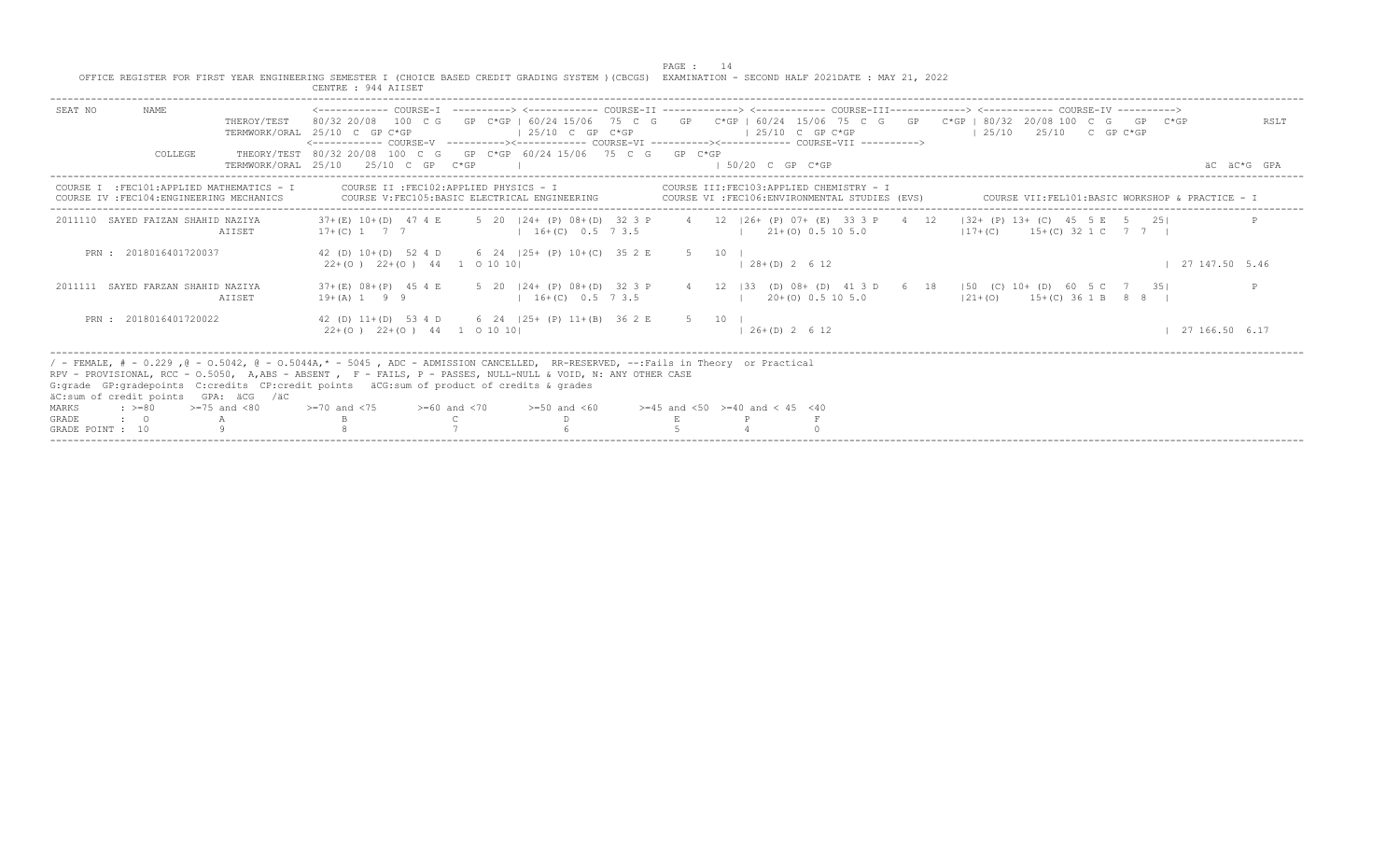|                                                                                                                                                                                                                                                                                                                                                                                                                                                                 |                  | OFFICE REGISTER FOR FIRST YEAR ENGINEERING SEMESTER I (CHOICE BASED CREDIT GRADING SYSTEM ) (CBCGS) EXAMINATION - SECOND HALF 2021DATE : MAY 21, 2022<br>CENTRE : 944 AIISET |                    | PAGE: 14 |        |                                          |                                                                                            |                                                                                                                                                                                                                                                                                                          |               |
|-----------------------------------------------------------------------------------------------------------------------------------------------------------------------------------------------------------------------------------------------------------------------------------------------------------------------------------------------------------------------------------------------------------------------------------------------------------------|------------------|------------------------------------------------------------------------------------------------------------------------------------------------------------------------------|--------------------|----------|--------|------------------------------------------|--------------------------------------------------------------------------------------------|----------------------------------------------------------------------------------------------------------------------------------------------------------------------------------------------------------------------------------------------------------------------------------------------------------|---------------|
| SEAT NO<br>NAME                                                                                                                                                                                                                                                                                                                                                                                                                                                 | THEROY/TEST      | TERMWORK/ORAL 25/10 C GP C*GP<br><------------ COURSE-V ----------><----------- COURSE-VI ----------><----------- COURSE-VII ----------->                                    | $125/10$ C GP C*GP |          |        | $125/10$ C GP C*GP                       |                                                                                            | <------------ COURSE-I ----------> <------------ COURSE-II -------------> <------------ COURSE-III-------------> <----------- COURSE-IV ----------><br>80/32 20/08 100 C G GP C*GP   60/24 15/06 75 C G GP C*GP   60/24 15/06 75 C G GP C*GP   80/32 20/08 100 C G GP C*GP<br>$125/10$ $25/10$ C GP C*GP | RSLT          |
| COLLEGE                                                                                                                                                                                                                                                                                                                                                                                                                                                         |                  | THEORY/TEST 80/32 20/08 100 C G GP C*GP 60/24 15/06 75 C G GP C*GP<br>TERMWORK/ORAL 25/10 25/10 C GP C*GP                                                                    |                    |          |        | $\pm$ 50/20 C GP C*GP                    |                                                                                            |                                                                                                                                                                                                                                                                                                          | äC äC*G GPA   |
| COURSE I : FEC101: APPLIED MATHEMATICS - I<br>COURSE IV : FEC104: ENGINEERING MECHANICS                                                                                                                                                                                                                                                                                                                                                                         |                  | COURSE IT : FEC102: APPLIED PHYSICS - I<br>COURSE V: FEC105: BASIC ELECTRICAL ENGINEERING                                                                                    |                    |          |        |                                          | COURSE III:FEC103:APPLIED CHEMISTRY - I<br>COURSE VI : FEC106: ENVIRONMENTAL STUDIES (EVS) | COURSE VII:FEL101:BASIC WORKSHOP & PRACTICE - I                                                                                                                                                                                                                                                          |               |
| 2011110 SAYED FAIZAN SHAHID NAZIYA                                                                                                                                                                                                                                                                                                                                                                                                                              | AIISET           | $17+(C)$ 1 7 7 1 6 + (C) 0.5 7 3.5 1 21 + (O) 0.5 10 5.0                                                                                                                     |                    |          |        |                                          |                                                                                            | 37+(E) 10+(D) 47 4 E 5 20 124+ (P) 08+(D) 32 3 P 4 12 126+ (P) 07+ (E) 33 3 P 4 12 132+ (P) 13+ (C) 45 5 E 5 251<br>$17+(C)$ 15+(C) 32 1 C 7 7                                                                                                                                                           |               |
| PRN: 2018016401720037                                                                                                                                                                                                                                                                                                                                                                                                                                           |                  | 42 (D) 10+(D) 52 4 D 6 24   25+ (P) 10+ (C) 35 2 E<br>$22+(0)$ $22+(0)$ $44$ 1 0 10 10                                                                                       |                    |          | 5 10 1 | $\vert$ 28+(D) 2 6 12                    |                                                                                            |                                                                                                                                                                                                                                                                                                          | 127147.505.46 |
| 2011111 SAYED FARZAN SHAHID NAZIYA                                                                                                                                                                                                                                                                                                                                                                                                                              | AIISET           | $19+(A)$ 1 9 9 $16+(C)$ 0.5 7 3.5                                                                                                                                            |                    |          |        | $1 \t20+ (0) \t0.5 \t10 \t5.0$           |                                                                                            | 37+(E) 08+(P) 45 4 E 5 20   24+ (P) 08+(D) 32 3 P 4 12   33 (D) 08+ (D) 41 3 D 6 18   50 (C) 10+ (D) 60 5 C 7 35 <br>$121+(0)$ $15+(C)$ 36 1 B 8 8 I                                                                                                                                                     |               |
| PRN: 2018016401720022                                                                                                                                                                                                                                                                                                                                                                                                                                           |                  | 42 (D) 11+(D) 53 4 D 6 24   25+ (P) 11+(B) 36 2 E 5 10  <br>$22+(0)$ $22+(0)$ $44$ 1 0 10 10                                                                                 |                    |          |        | $126+(D) 2612$                           |                                                                                            |                                                                                                                                                                                                                                                                                                          | 127166.506.17 |
| / - FEMALE, # - 0.229, @ - 0.5042, @ - 0.5044A,* - 5045, ADC - ADMISSION CANCELLED, RR-RESERVED, --:Fails in Theory or Practical<br>RPV - PROVISIONAL, RCC - 0.5050, A,ABS - ABSENT , F - FAILS, P - PASSES, NULL-NULL & VOID, N: ANY OTHER CASE<br>G: grade GP: gradepoints C: credits CP: credit points äCG: sum of product of credits & grades<br>äC:sum of credit points GPA: äCG /äC<br>$: >=80$<br>MARKS<br><b>GRADE</b><br>$\cdot$ 0<br>GRADE POINT : 10 | $>=75$ and $<80$ | $>=70$ and $<75$ $>=60$ and $<70$                                                                                                                                            | $>=50$ and $<60$   |          |        | $>=45$ and $<50$ $>=40$ and $< 45$ $<40$ |                                                                                            |                                                                                                                                                                                                                                                                                                          |               |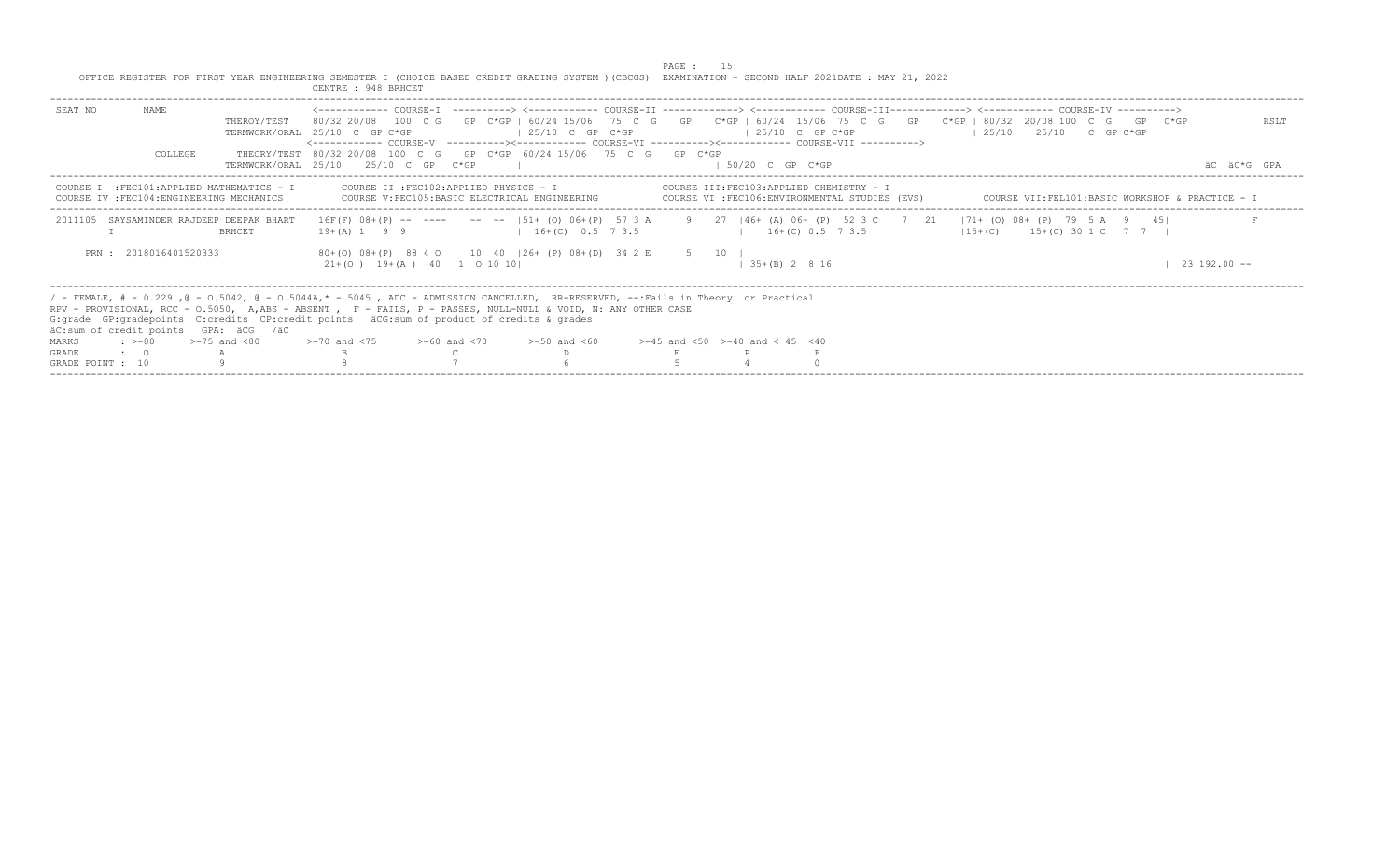|                                           |                                                                                  |                     | OFFICE REGISTER FOR FIRST YEAR ENGINEERING SEMESTER I (CHOICE BASED CREDIT GRADING SYSTEM ) (CBCGS) EXAMINATION - SECOND HALF 2021DATE : MAY 21, 2022<br>CENTRE : 948 BRHCET                                                                                                                                                                                                                                                                                                         |                                                                                               | PAGE : |                     |                                                                                            |                                                 |  |                  |  |
|-------------------------------------------|----------------------------------------------------------------------------------|---------------------|--------------------------------------------------------------------------------------------------------------------------------------------------------------------------------------------------------------------------------------------------------------------------------------------------------------------------------------------------------------------------------------------------------------------------------------------------------------------------------------|-----------------------------------------------------------------------------------------------|--------|---------------------|--------------------------------------------------------------------------------------------|-------------------------------------------------|--|------------------|--|
| SEAT NO                                   | NAME<br>COLLEGE                                                                  | THEROY/TEST         | 80/32 20/08 100 C G GP C*GP I 60/24 15/06 75 C G GP C*GP   60/24 15/06 75 C G GP C*GP   80/32 20/08 100 C G GP C*GP<br>TERMWORK/ORAL 25/10 C GP C*GP<br><------------ COURSE-V ----------><----------- COURSE-VI ----------><----------- COURSE-VII -----------><br>THEORY/TEST 80/32 20/08 100 C G GP C*GP 60/24 15/06 75 C G GP C*GP                                                                                                                                               | $125/10$ C GP C*GP                                                                            |        |                     | $125/10$ C GP C*GP                                                                         | $125/10$ $25/10$ C GP C*GP                      |  | RSLT             |  |
|                                           |                                                                                  | TERMWORK/ORAL 25/10 | $25/10$ C GP $C*GP$                                                                                                                                                                                                                                                                                                                                                                                                                                                                  |                                                                                               |        | $1.50/20$ C GP C*GP |                                                                                            |                                                 |  | AC AC*G GPA      |  |
| COURSE.                                   | I : FEC101: APPLIED MATHEMATICS - I<br>COURSE IV : FEC104: ENGINEERING MECHANICS |                     | COURSE II : FEC102: APPLIED PHYSICS - I<br>COURSE V: FEC105: BASIC ELECTRICAL ENGINEERING                                                                                                                                                                                                                                                                                                                                                                                            |                                                                                               |        |                     | COURSE III:FEC103:APPLIED CHEMISTRY - I<br>COURSE VI : FEC106: ENVIRONMENTAL STUDIES (EVS) | COURSE VII:FEL101:BASIC WORKSHOP & PRACTICE - I |  |                  |  |
| 2011105                                   | SAYSAMINDER RAJDEEP DEEPAK BHART                                                 | <b>BRHCET</b>       | 16F(F) 08+(P) -- ---- -- --  51+ (O) 06+(P) 57 3 A 9 27  46+ (A) 06+ (P) 52 3 C 7 21  71+ (O) 08+ (P) 79 5 A 9 45 <br>$19 + (A)$ 1 9 9                                                                                                                                                                                                                                                                                                                                               | $1 \quad 16 + (C) \quad 0.5 \quad 7 \quad 3.5$ $1 \quad 16 + (C) \quad 0.5 \quad 7 \quad 3.5$ |        |                     |                                                                                            | $115+(C)$ 15+(C) 30 1 C 7 7 1                   |  |                  |  |
|                                           | PRN: 2018016401520333                                                            |                     | 80+(O) 08+(P) 88 4 0 10 40   26+ (P) 08+(D) 34 2 E 5 10  <br>$21+ (0)$ 19+(A) 40 1 0 10 10                                                                                                                                                                                                                                                                                                                                                                                           |                                                                                               |        | $35+(B)$ 2 8 16     |                                                                                            |                                                 |  | $23, 192, 00$ -- |  |
| MARKS<br><b>GRADE</b><br>GRADE POINT : 10 | äC:sum of credit points GPA: äCG /äC<br>$: z = 80$                               |                     | / - FEMALE, # - 0.229, @ - 0.5042, @ - 0.5044A,* - 5045, ADC - ADMISSION CANCELLED, RR-RESERVED, --:Fails in Theory or Practical<br>RPV - PROVISIONAL, RCC - 0.5050, A,ABS - ABSENT , F - FAILS, P - PASSES, NULL-NULL & VOID, N: ANY OTHER CASE<br>G: grade GP: gradepoints C: credits CP: credit points äCG: sum of product of credits & grades<br>>=75 and <80             >=70 and <75           >=60 and <70           >=50 and <60          >=45 and <50   >=40 and < 45   <40 |                                                                                               |        |                     |                                                                                            |                                                 |  |                  |  |

-----------------------------------------------------------------------------------------------------------------------------------------------------------------------------------------------------------------------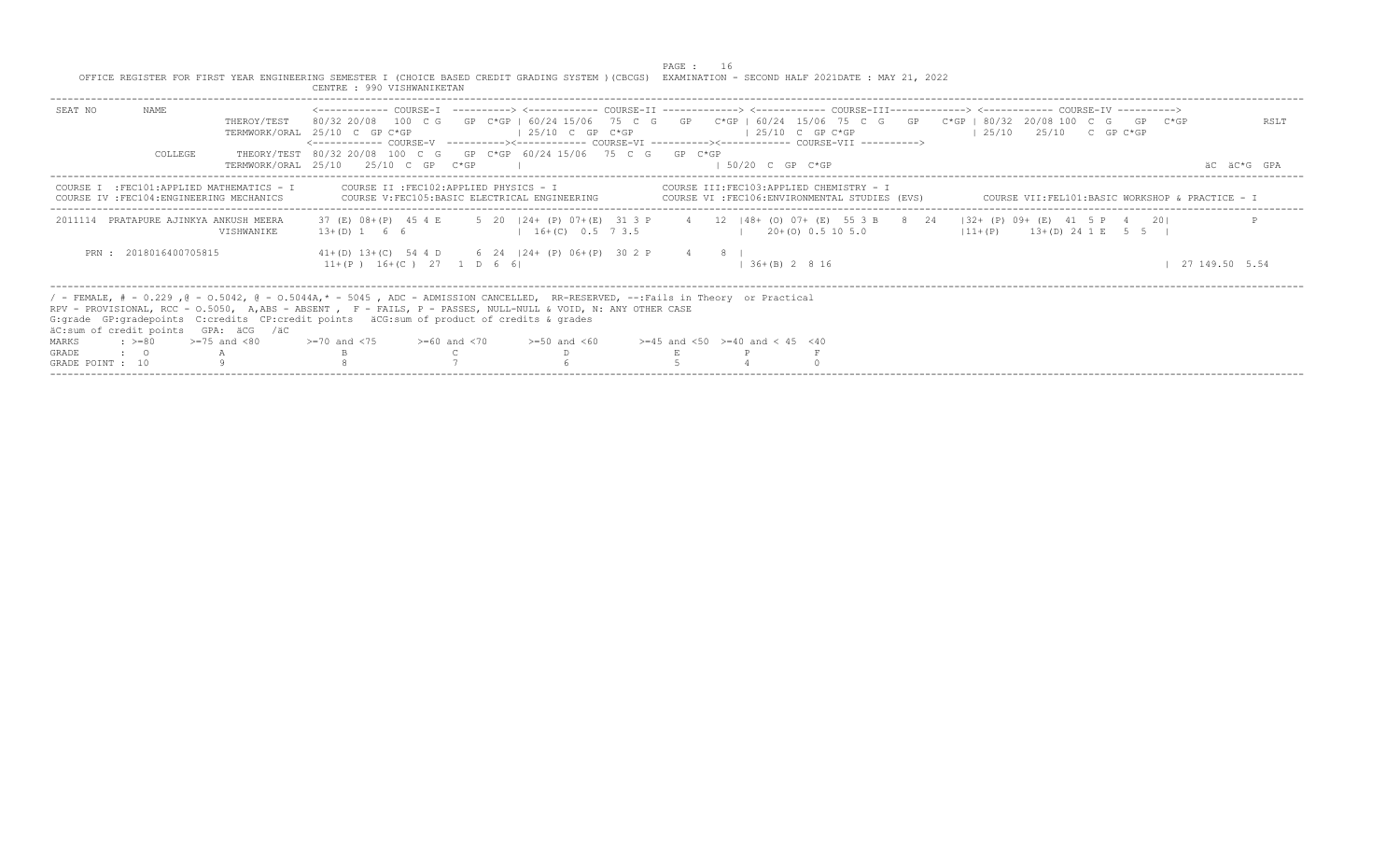|                  |                       |                                                                                         | OFFICE REGISTER FOR FIRST YEAR ENGINEERING SEMESTER I (CHOICE BASED CREDIT GRADING SYSTEM ) (CBCGS) EXAMINATION - SECOND HALF 2021DATE : MAY 21, 2022<br>CENTRE : 990 VISHWANIKETAN                                                                                                                                                                                                                                                                                                                         |                    | PAGE : |                                                                                            |                |  |                                                 |  |                |
|------------------|-----------------------|-----------------------------------------------------------------------------------------|-------------------------------------------------------------------------------------------------------------------------------------------------------------------------------------------------------------------------------------------------------------------------------------------------------------------------------------------------------------------------------------------------------------------------------------------------------------------------------------------------------------|--------------------|--------|--------------------------------------------------------------------------------------------|----------------|--|-------------------------------------------------|--|----------------|
| SEAT NO          | NAME<br>COLLEGE       | THEROY/TEST                                                                             | <------------ COURSE-T ----------> <----------- COURSE-TT -------------> <------------ COURSE-TTT------------> <------------ COURSE-TV -----------><br>80/32 20/08 100 C G GP C*GP I 60/24 15/06 75 C G GP C*GP   60/24 15/06 75 C G GP C*GP   80/32 20/08 100 C G GP C*GP<br>TERMWORK/ORAL 25/10 C GP C*GP<br><------------ COURSE-V    ----------><-----------    COURSE-VI    -----------><----------    COURSE-VII    ----------><br>THEORY/TEST 80/32 20/08 100 C G GP C*GP 60/24 15/06 75 C G GP C*GP | $125/10$ C GP C*GP |        | $125/10$ C GP C*GP                                                                         |                |  | $125/10$ $25/10$ C GP C*GP                      |  | RSLT           |
|                  |                       |                                                                                         | TERMWORK/ORAL 25/10 25/10 C GP C*GP                                                                                                                                                                                                                                                                                                                                                                                                                                                                         |                    |        | $1.50/20$ C GP C*GP                                                                        |                |  |                                                 |  | AC AC*G GPA    |
|                  |                       | COURSE I : FEC101: APPLIED MATHEMATICS - I<br>COURSE IV : FEC104: ENGINEERING MECHANICS | COURSE II : FEC102: APPLIED PHYSICS - I<br>COURSE V: FEC105: BASIC ELECTRICAL ENGINEERING                                                                                                                                                                                                                                                                                                                                                                                                                   |                    |        | COURSE III:FEC103:APPLIED CHEMISTRY - I<br>COURSE VI : FEC106: ENVIRONMENTAL STUDIES (EVS) |                |  | COURSE VII:FEL101:BASIC WORKSHOP & PRACTICE - I |  |                |
|                  |                       | 2011114 PRATAPURE AJINKYA ANKUSH MEERA<br><b>VISHWANIKE</b>                             | 37 (E) 08+ (P) 45 4 E 5 20   24+ (P) 07+ (E) 31 3 P 4 12   48+ (O) 07+ (E) 55 3 B 8 24   32+ (P) 09+ (E) 41 5 P 4 20 <br>$13+(D)$ 1 6 6                                                                                                                                                                                                                                                                                                                                                                     | $16+(C)$ 0.5 7 3.5 |        | $120+(0)0.5105.0$                                                                          |                |  | $11 + (P)$ $13 + (D)$ $24$ 1 E 5 5 H            |  |                |
|                  | PRN: 2018016400705815 |                                                                                         | $41+(D)$ $13+(C)$ 54 4 D 6 24   24 + (P) 06 + (P) 30 2 P 4 8  <br>$11+(P)$ $16+(C)$ 27 1 D 6 6                                                                                                                                                                                                                                                                                                                                                                                                              |                    |        |                                                                                            | $136+(B) 2816$ |  |                                                 |  | 27 149.50 5.54 |
|                  |                       | äC:sum of credit points GPA: äCG /äC                                                    | / - FEMALE, # - 0.229, @ - 0.5042, @ - 0.5044A,* - 5045, ADC - ADMISSION CANCELLED, RR-RESERVED, --:Fails in Theory or Practical<br>RPV - PROVISIONAL, RCC - 0.5050, A,ABS - ABSENT , F - FAILS, P - PASSES, NULL-NULL & VOID, N: ANY OTHER CASE<br>G: grade GP: gradepoints C: credits CP: credit points äCG: sum of product of credits & grades                                                                                                                                                           |                    |        |                                                                                            |                |  |                                                 |  |                |
| MARKS            | $: >=80$              | $>=75$ and $<80$                                                                        | $>1$ 20 and $<$ 75 $>$ $>160$ and $<$ 70 $>$ $>150$ and $<$ 60 $>$ $>145$ and $<$ 50 $>$ $=$ 40 and $<$ 45 $<$ 40                                                                                                                                                                                                                                                                                                                                                                                           |                    |        |                                                                                            |                |  |                                                 |  |                |
| GRADE            | $\cdot$ 0             |                                                                                         |                                                                                                                                                                                                                                                                                                                                                                                                                                                                                                             |                    |        |                                                                                            |                |  |                                                 |  |                |
| GRADE POINT : 10 |                       |                                                                                         |                                                                                                                                                                                                                                                                                                                                                                                                                                                                                                             |                    |        |                                                                                            |                |  |                                                 |  |                |